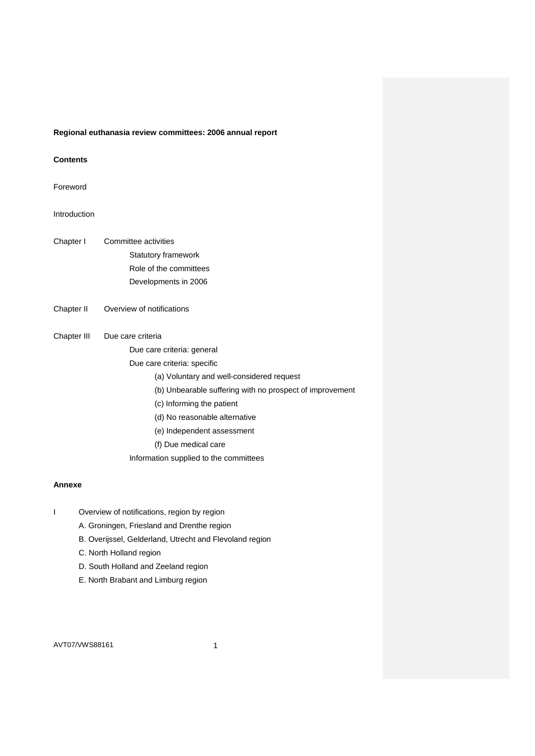# **Regional euthanasia review committees: 2006 annual report**

# **Contents**

## Foreword

# Introduction

| Chapter I   | Committee activities                                     |
|-------------|----------------------------------------------------------|
|             | <b>Statutory framework</b>                               |
|             | Role of the committees                                   |
|             | Developments in 2006                                     |
| Chapter II  | Overview of notifications                                |
| Chapter III | Due care criteria                                        |
|             | Due care criteria: general                               |
|             | Due care criteria: specific                              |
|             | (a) Voluntary and well-considered request                |
|             | (b) Unbearable suffering with no prospect of improvement |
|             | (c) Informing the patient                                |
|             | (d) No reasonable alternative                            |
|             | (e) Independent assessment                               |
|             | (f) Due medical care                                     |
|             | Information supplied to the committees                   |

## **Annexe**

- I Overview of notifications, region by region
	- A. Groningen, Friesland and Drenthe region
	- B. Overijssel, Gelderland, Utrecht and Flevoland region
	- C. North Holland region
	- D. South Holland and Zeeland region
	- E. North Brabant and Limburg region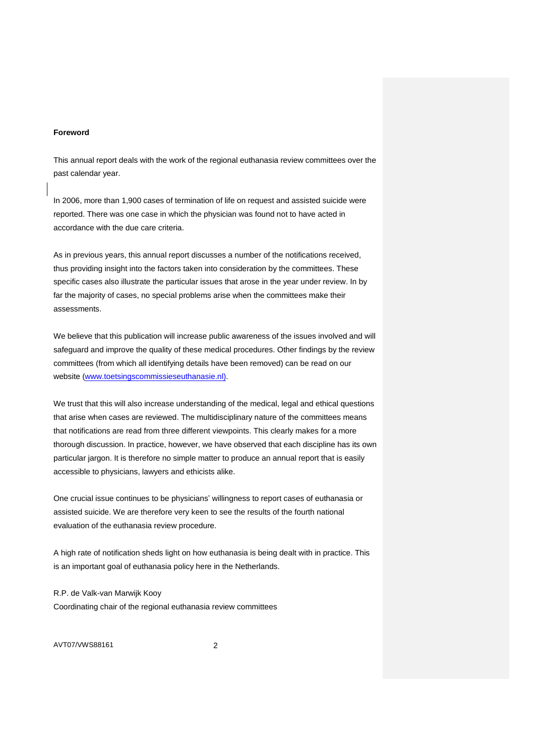### **Foreword**

This annual report deals with the work of the regional euthanasia review committees over the past calendar year.

In 2006, more than 1,900 cases of termination of life on request and assisted suicide were reported. There was one case in which the physician was found not to have acted in accordance with the due care criteria.

As in previous years, this annual report discusses a number of the notifications received, thus providing insight into the factors taken into consideration by the committees. These specific cases also illustrate the particular issues that arose in the year under review. In by far the majority of cases, no special problems arise when the committees make their assessments.

We believe that this publication will increase public awareness of the issues involved and will safeguard and improve the quality of these medical procedures. Other findings by the review committees (from which all identifying details have been removed) can be read on our website [\(www.toetsingscommissieseuthanasie.nl\).](http://www.toetstingscommissieseuthanasie.nl)/)

We trust that this will also increase understanding of the medical, legal and ethical questions that arise when cases are reviewed. The multidisciplinary nature of the committees means that notifications are read from three different viewpoints. This clearly makes for a more thorough discussion. In practice, however, we have observed that each discipline has its own particular jargon. It is therefore no simple matter to produce an annual report that is easily accessible to physicians, lawyers and ethicists alike.

One crucial issue continues to be physicians' willingness to report cases of euthanasia or assisted suicide. We are therefore very keen to see the results of the fourth national evaluation of the euthanasia review procedure.

A high rate of notification sheds light on how euthanasia is being dealt with in practice. This is an important goal of euthanasia policy here in the Netherlands.

R.P. de Valk-van Marwijk Kooy Coordinating chair of the regional euthanasia review committees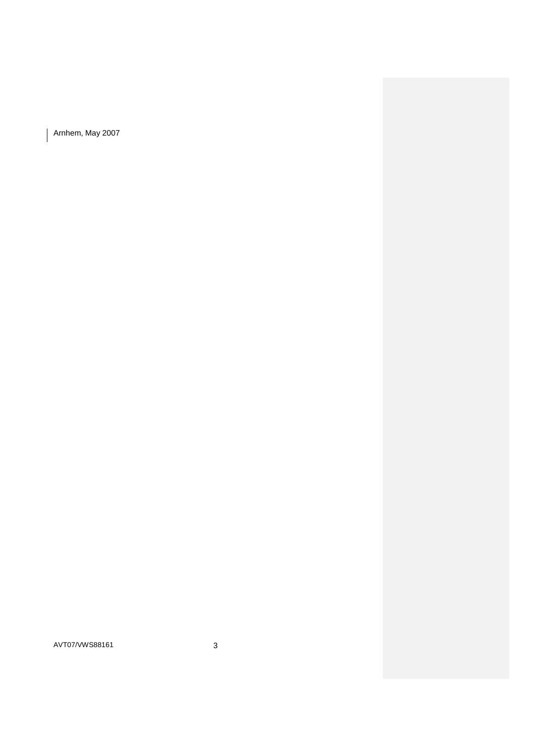Arnhem, May 2007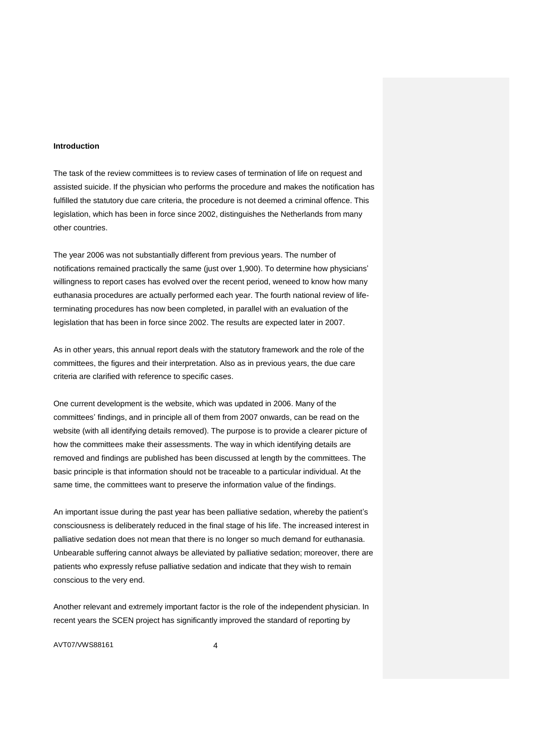#### **Introduction**

The task of the review committees is to review cases of termination of life on request and assisted suicide. If the physician who performs the procedure and makes the notification has fulfilled the statutory due care criteria, the procedure is not deemed a criminal offence. This legislation, which has been in force since 2002, distinguishes the Netherlands from many other countries.

The year 2006 was not substantially different from previous years. The number of notifications remained practically the same (just over 1,900). To determine how physicians' willingness to report cases has evolved over the recent period, weneed to know how many euthanasia procedures are actually performed each year. The fourth national review of lifeterminating procedures has now been completed, in parallel with an evaluation of the legislation that has been in force since 2002. The results are expected later in 2007.

As in other years, this annual report deals with the statutory framework and the role of the committees, the figures and their interpretation. Also as in previous years, the due care criteria are clarified with reference to specific cases.

One current development is the website, which was updated in 2006. Many of the committees' findings, and in principle all of them from 2007 onwards, can be read on the website (with all identifying details removed). The purpose is to provide a clearer picture of how the committees make their assessments. The way in which identifying details are removed and findings are published has been discussed at length by the committees. The basic principle is that information should not be traceable to a particular individual. At the same time, the committees want to preserve the information value of the findings.

An important issue during the past year has been palliative sedation, whereby the patient's consciousness is deliberately reduced in the final stage of his life. The increased interest in palliative sedation does not mean that there is no longer so much demand for euthanasia. Unbearable suffering cannot always be alleviated by palliative sedation; moreover, there are patients who expressly refuse palliative sedation and indicate that they wish to remain conscious to the very end.

Another relevant and extremely important factor is the role of the independent physician. In recent years the SCEN project has significantly improved the standard of reporting by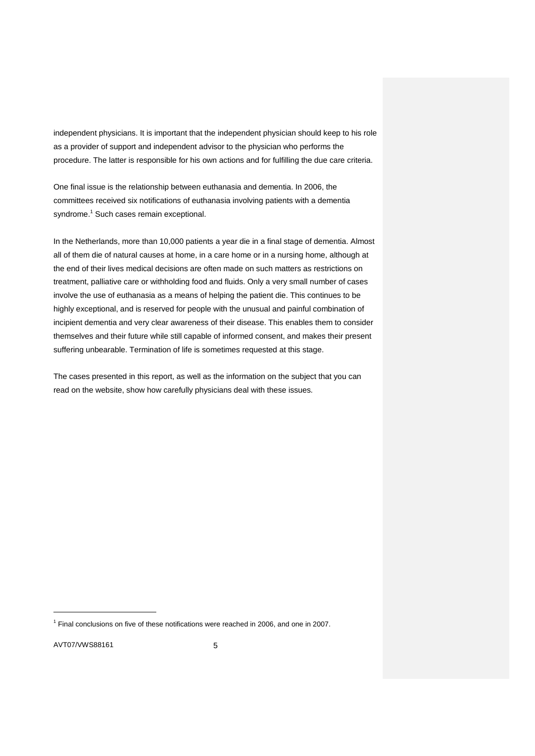independent physicians. It is important that the independent physician should keep to his role as a provider of support and independent advisor to the physician who performs the procedure. The latter is responsible for his own actions and for fulfilling the due care criteria.

One final issue is the relationship between euthanasia and dementia. In 2006, the committees received six notifications of euthanasia involving patients with a dementia syndrome.<sup>1</sup> Such cases remain exceptional.

In the Netherlands, more than 10,000 patients a year die in a final stage of dementia. Almost all of them die of natural causes at home, in a care home or in a nursing home, although at the end of their lives medical decisions are often made on such matters as restrictions on treatment, palliative care or withholding food and fluids. Only a very small number of cases involve the use of euthanasia as a means of helping the patient die. This continues to be highly exceptional, and is reserved for people with the unusual and painful combination of incipient dementia and very clear awareness of their disease. This enables them to consider themselves and their future while still capable of informed consent, and makes their present suffering unbearable. Termination of life is sometimes requested at this stage.

The cases presented in this report, as well as the information on the subject that you can read on the website, show how carefully physicians deal with these issues.

AVT07/VWS88161 5

 $<sup>1</sup>$  Final conclusions on five of these notifications were reached in 2006, and one in 2007.</sup>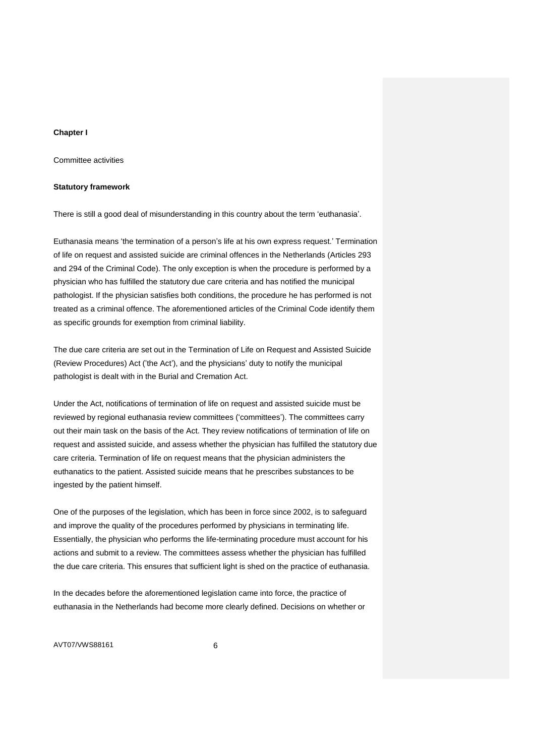## **Chapter I**

Committee activities

### **Statutory framework**

There is still a good deal of misunderstanding in this country about the term 'euthanasia'.

Euthanasia means 'the termination of a person's life at his own express request.' Termination of life on request and assisted suicide are criminal offences in the Netherlands (Articles 293 and 294 of the Criminal Code). The only exception is when the procedure is performed by a physician who has fulfilled the statutory due care criteria and has notified the municipal pathologist. If the physician satisfies both conditions, the procedure he has performed is not treated as a criminal offence. The aforementioned articles of the Criminal Code identify them as specific grounds for exemption from criminal liability.

The due care criteria are set out in the Termination of Life on Request and Assisted Suicide (Review Procedures) Act ('the Act'), and the physicians' duty to notify the municipal pathologist is dealt with in the Burial and Cremation Act.

Under the Act, notifications of termination of life on request and assisted suicide must be reviewed by regional euthanasia review committees ('committees'). The committees carry out their main task on the basis of the Act. They review notifications of termination of life on request and assisted suicide, and assess whether the physician has fulfilled the statutory due care criteria. Termination of life on request means that the physician administers the euthanatics to the patient. Assisted suicide means that he prescribes substances to be ingested by the patient himself.

One of the purposes of the legislation, which has been in force since 2002, is to safeguard and improve the quality of the procedures performed by physicians in terminating life. Essentially, the physician who performs the life-terminating procedure must account for his actions and submit to a review. The committees assess whether the physician has fulfilled the due care criteria. This ensures that sufficient light is shed on the practice of euthanasia.

In the decades before the aforementioned legislation came into force, the practice of euthanasia in the Netherlands had become more clearly defined. Decisions on whether or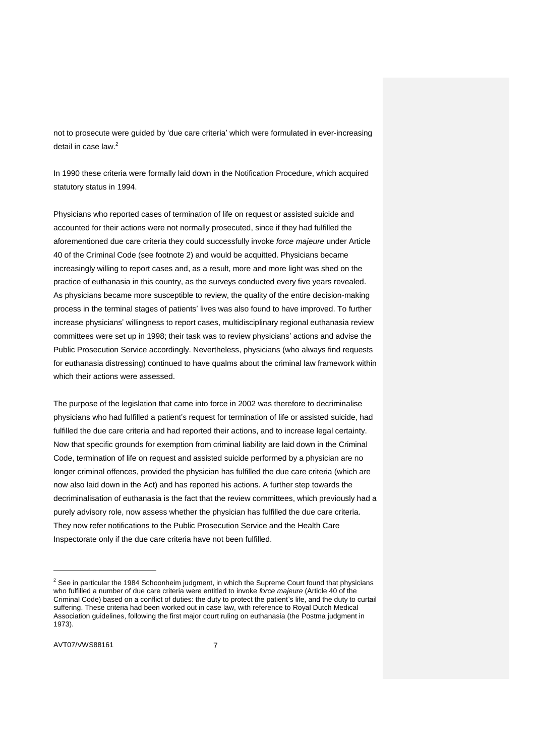not to prosecute were guided by 'due care criteria' which were formulated in ever-increasing detail in case law.<sup>2</sup>

In 1990 these criteria were formally laid down in the Notification Procedure, which acquired statutory status in 1994.

Physicians who reported cases of termination of life on request or assisted suicide and accounted for their actions were not normally prosecuted, since if they had fulfilled the aforementioned due care criteria they could successfully invoke *force majeure* under Article 40 of the Criminal Code (see footnote 2) and would be acquitted. Physicians became increasingly willing to report cases and, as a result, more and more light was shed on the practice of euthanasia in this country, as the surveys conducted every five years revealed. As physicians became more susceptible to review, the quality of the entire decision-making process in the terminal stages of patients' lives was also found to have improved. To further increase physicians' willingness to report cases, multidisciplinary regional euthanasia review committees were set up in 1998; their task was to review physicians' actions and advise the Public Prosecution Service accordingly. Nevertheless, physicians (who always find requests for euthanasia distressing) continued to have qualms about the criminal law framework within which their actions were assessed.

The purpose of the legislation that came into force in 2002 was therefore to decriminalise physicians who had fulfilled a patient's request for termination of life or assisted suicide, had fulfilled the due care criteria and had reported their actions, and to increase legal certainty. Now that specific grounds for exemption from criminal liability are laid down in the Criminal Code, termination of life on request and assisted suicide performed by a physician are no longer criminal offences, provided the physician has fulfilled the due care criteria (which are now also laid down in the Act) and has reported his actions. A further step towards the decriminalisation of euthanasia is the fact that the review committees, which previously had a purely advisory role, now assess whether the physician has fulfilled the due care criteria. They now refer notifications to the Public Prosecution Service and the Health Care Inspectorate only if the due care criteria have not been fulfilled.

 $2$  See in particular the 1984 Schoonheim judgment, in which the Supreme Court found that physicians who fulfilled a number of due care criteria were entitled to invoke *force majeure* (Article 40 of the Criminal Code) based on a conflict of duties: the duty to protect the patient's life, and the duty to curtail suffering. These criteria had been worked out in case law, with reference to Royal Dutch Medical Association guidelines, following the first major court ruling on euthanasia (the Postma judgment in 1973).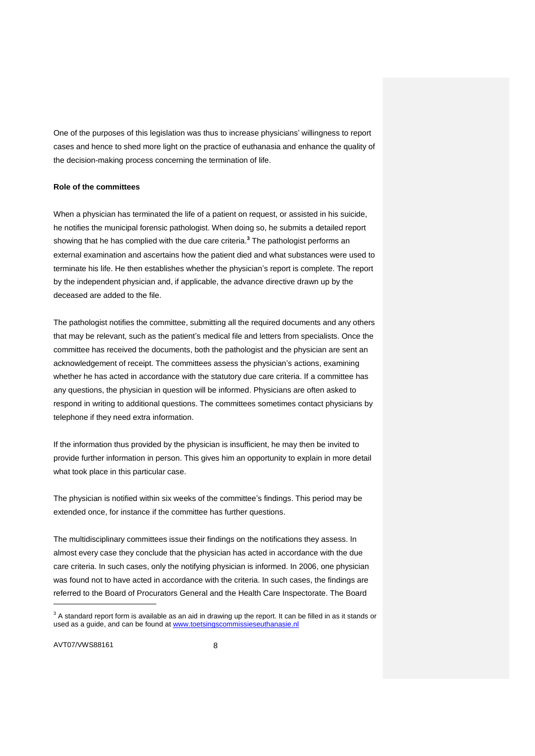One of the purposes of this legislation was thus to increase physicians' willingness to report cases and hence to shed more light on the practice of euthanasia and enhance the quality of the decision-making process concerning the termination of life.

### **Role of the committees**

When a physician has terminated the life of a patient on request, or assisted in his suicide, he notifies the municipal forensic pathologist. When doing so, he submits a detailed report showing that he has complied with the due care criteria.**<sup>3</sup>** The pathologist performs an external examination and ascertains how the patient died and what substances were used to terminate his life. He then establishes whether the physician's report is complete. The report by the independent physician and, if applicable, the advance directive drawn up by the deceased are added to the file.

The pathologist notifies the committee, submitting all the required documents and any others that may be relevant, such as the patient's medical file and letters from specialists. Once the committee has received the documents, both the pathologist and the physician are sent an acknowledgement of receipt. The committees assess the physician's actions, examining whether he has acted in accordance with the statutory due care criteria. If a committee has any questions, the physician in question will be informed. Physicians are often asked to respond in writing to additional questions. The committees sometimes contact physicians by telephone if they need extra information.

If the information thus provided by the physician is insufficient, he may then be invited to provide further information in person. This gives him an opportunity to explain in more detail what took place in this particular case.

The physician is notified within six weeks of the committee's findings. This period may be extended once, for instance if the committee has further questions.

The multidisciplinary committees issue their findings on the notifications they assess. In almost every case they conclude that the physician has acted in accordance with the due care criteria. In such cases, only the notifying physician is informed. In 2006, one physician was found not to have acted in accordance with the criteria. In such cases, the findings are referred to the Board of Procurators General and the Health Care Inspectorate. The Board

AVT07/VWS88161 8

 $3$  A standard report form is available as an aid in drawing up the report. It can be filled in as it stands or used as a guide, and can be found at [www.toetsingscommissieseuthanasie.nl](http://www.toetsingscommissieseuthanasie.nl/)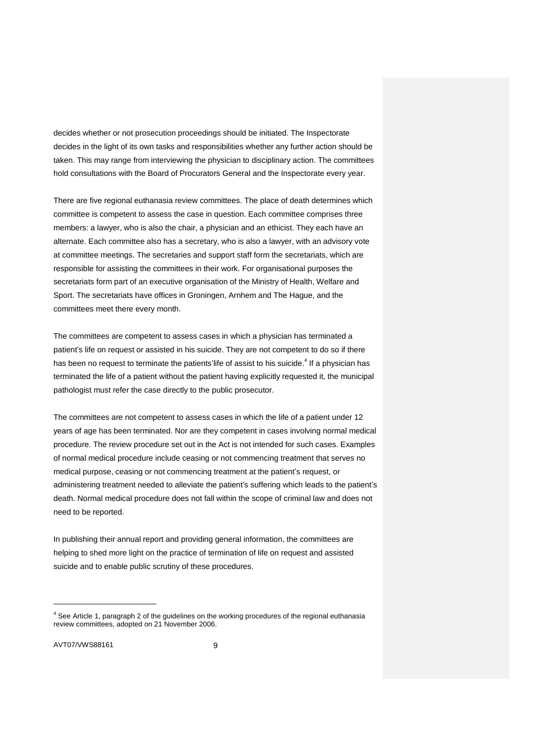decides whether or not prosecution proceedings should be initiated. The Inspectorate decides in the light of its own tasks and responsibilities whether any further action should be taken. This may range from interviewing the physician to disciplinary action. The committees hold consultations with the Board of Procurators General and the Inspectorate every year.

There are five regional euthanasia review committees. The place of death determines which committee is competent to assess the case in question. Each committee comprises three members: a lawyer, who is also the chair, a physician and an ethicist. They each have an alternate. Each committee also has a secretary, who is also a lawyer, with an advisory vote at committee meetings. The secretaries and support staff form the secretariats, which are responsible for assisting the committees in their work. For organisational purposes the secretariats form part of an executive organisation of the Ministry of Health, Welfare and Sport. The secretariats have offices in Groningen, Arnhem and The Hague, and the committees meet there every month.

The committees are competent to assess cases in which a physician has terminated a patient's life on request or assisted in his suicide. They are not competent to do so if there has been no request to terminate the patients'life of assist to his suicide.<sup>4</sup> If a physician has terminated the life of a patient without the patient having explicitly requested it, the municipal pathologist must refer the case directly to the public prosecutor.

The committees are not competent to assess cases in which the life of a patient under 12 years of age has been terminated. Nor are they competent in cases involving normal medical procedure. The review procedure set out in the Act is not intended for such cases. Examples of normal medical procedure include ceasing or not commencing treatment that serves no medical purpose, ceasing or not commencing treatment at the patient's request, or administering treatment needed to alleviate the patient's suffering which leads to the patient's death. Normal medical procedure does not fall within the scope of criminal law and does not need to be reported.

In publishing their annual report and providing general information, the committees are helping to shed more light on the practice of termination of life on request and assisted suicide and to enable public scrutiny of these procedures.

 $<sup>4</sup>$  See Article 1, paragraph 2 of the guidelines on the working procedures of the regional euthanasia</sup> review committees, adopted on 21 November 2006.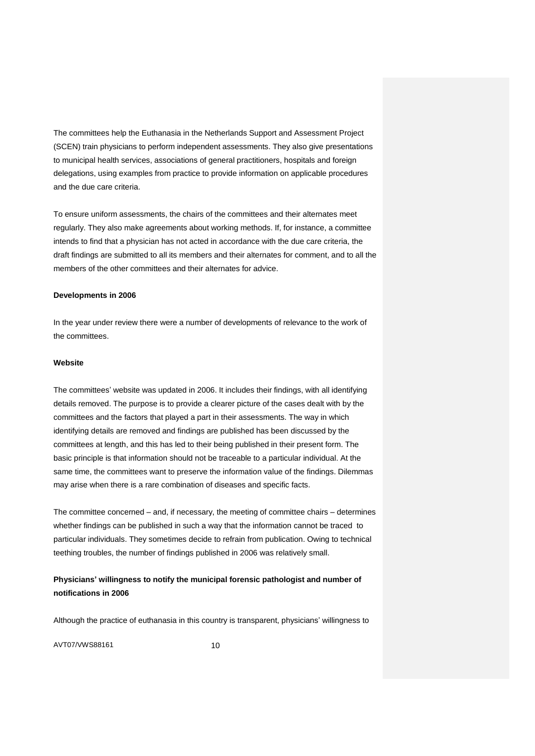The committees help the Euthanasia in the Netherlands Support and Assessment Project (SCEN) train physicians to perform independent assessments. They also give presentations to municipal health services, associations of general practitioners, hospitals and foreign delegations, using examples from practice to provide information on applicable procedures and the due care criteria.

To ensure uniform assessments, the chairs of the committees and their alternates meet regularly. They also make agreements about working methods. If, for instance, a committee intends to find that a physician has not acted in accordance with the due care criteria, the draft findings are submitted to all its members and their alternates for comment, and to all the members of the other committees and their alternates for advice.

### **Developments in 2006**

In the year under review there were a number of developments of relevance to the work of the committees.

### **Website**

The committees' website was updated in 2006. It includes their findings, with all identifying details removed. The purpose is to provide a clearer picture of the cases dealt with by the committees and the factors that played a part in their assessments. The way in which identifying details are removed and findings are published has been discussed by the committees at length, and this has led to their being published in their present form. The basic principle is that information should not be traceable to a particular individual. At the same time, the committees want to preserve the information value of the findings. Dilemmas may arise when there is a rare combination of diseases and specific facts.

The committee concerned – and, if necessary, the meeting of committee chairs – determines whether findings can be published in such a way that the information cannot be traced to particular individuals. They sometimes decide to refrain from publication. Owing to technical teething troubles, the number of findings published in 2006 was relatively small.

# **Physicians' willingness to notify the municipal forensic pathologist and number of notifications in 2006**

Although the practice of euthanasia in this country is transparent, physicians' willingness to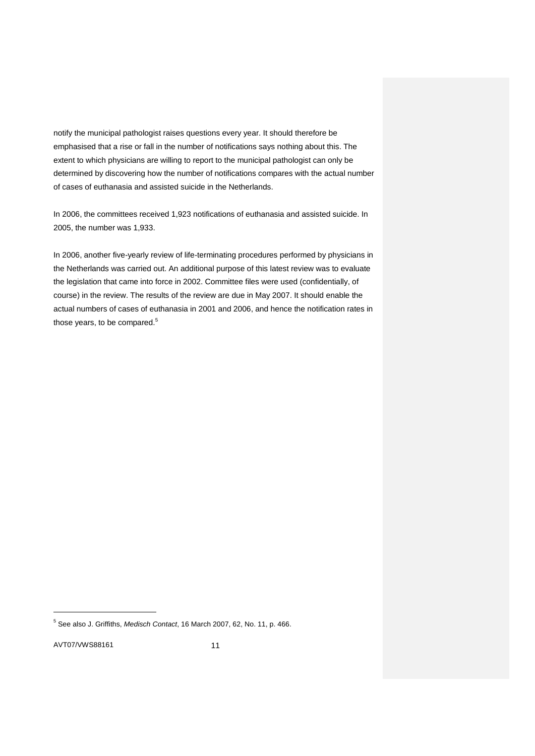notify the municipal pathologist raises questions every year. It should therefore be emphasised that a rise or fall in the number of notifications says nothing about this. The extent to which physicians are willing to report to the municipal pathologist can only be determined by discovering how the number of notifications compares with the actual number of cases of euthanasia and assisted suicide in the Netherlands.

In 2006, the committees received 1,923 notifications of euthanasia and assisted suicide. In 2005, the number was 1,933.

In 2006, another five-yearly review of life-terminating procedures performed by physicians in the Netherlands was carried out. An additional purpose of this latest review was to evaluate the legislation that came into force in 2002. Committee files were used (confidentially, of course) in the review. The results of the review are due in May 2007. It should enable the actual numbers of cases of euthanasia in 2001 and 2006, and hence the notification rates in those years, to be compared.<sup>5</sup>

AVT07/VWS88161 11

<sup>5</sup> See also J. Griffiths, *Medisch Contact*, 16 March 2007, 62, No. 11, p. 466.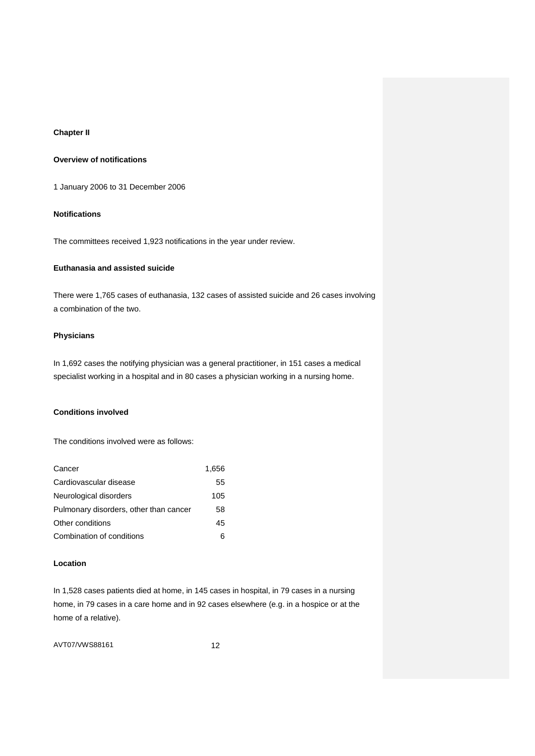# **Chapter II**

# **Overview of notifications**

1 January 2006 to 31 December 2006

## **Notifications**

The committees received 1,923 notifications in the year under review.

## **Euthanasia and assisted suicide**

There were 1,765 cases of euthanasia, 132 cases of assisted suicide and 26 cases involving a combination of the two.

## **Physicians**

In 1,692 cases the notifying physician was a general practitioner, in 151 cases a medical specialist working in a hospital and in 80 cases a physician working in a nursing home.

# **Conditions involved**

The conditions involved were as follows:

| Cancer                                 | 1.656 |
|----------------------------------------|-------|
| Cardiovascular disease                 | 55    |
| Neurological disorders                 | 105   |
| Pulmonary disorders, other than cancer | 58    |
| Other conditions                       | 45    |
| Combination of conditions              | 6     |

## **Location**

In 1,528 cases patients died at home, in 145 cases in hospital, in 79 cases in a nursing home, in 79 cases in a care home and in 92 cases elsewhere (e.g. in a hospice or at the home of a relative).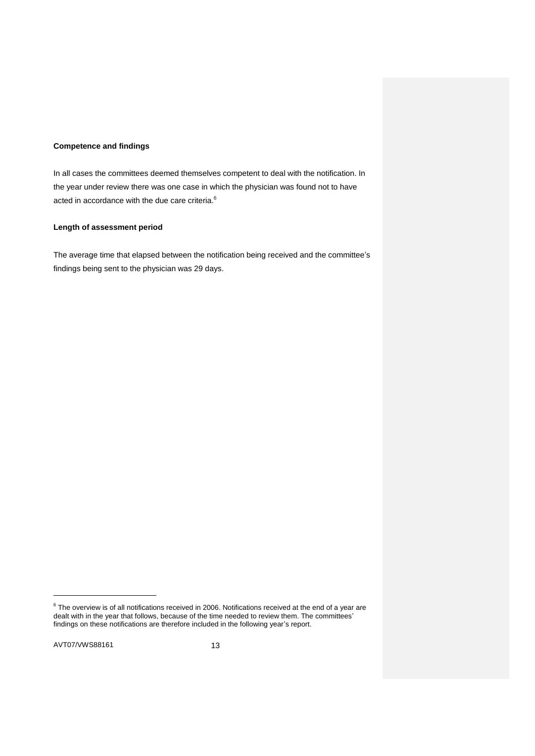### **Competence and findings**

In all cases the committees deemed themselves competent to deal with the notification. In the year under review there was one case in which the physician was found not to have acted in accordance with the due care criteria.<sup>6</sup>

## **Length of assessment period**

The average time that elapsed between the notification being received and the committee's findings being sent to the physician was 29 days.

 $^6$  The overview is of all notifications received in 2006. Notifications received at the end of a year are dealt with in the year that follows, because of the time needed to review them. The committees' findings on these notifications are therefore included in the following year's report.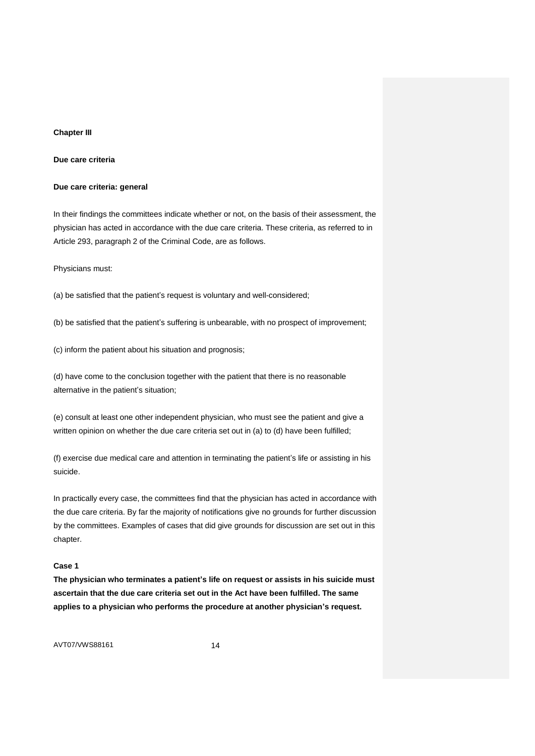### **Chapter III**

**Due care criteria**

### **Due care criteria: general**

In their findings the committees indicate whether or not, on the basis of their assessment, the physician has acted in accordance with the due care criteria. These criteria, as referred to in Article 293, paragraph 2 of the Criminal Code, are as follows.

Physicians must:

(a) be satisfied that the patient's request is voluntary and well-considered;

(b) be satisfied that the patient's suffering is unbearable, with no prospect of improvement;

(c) inform the patient about his situation and prognosis;

(d) have come to the conclusion together with the patient that there is no reasonable alternative in the patient's situation;

(e) consult at least one other independent physician, who must see the patient and give a written opinion on whether the due care criteria set out in (a) to (d) have been fulfilled;

(f) exercise due medical care and attention in terminating the patient's life or assisting in his suicide.

In practically every case, the committees find that the physician has acted in accordance with the due care criteria. By far the majority of notifications give no grounds for further discussion by the committees. Examples of cases that did give grounds for discussion are set out in this chapter.

## **Case 1**

**The physician who terminates a patient's life on request or assists in his suicide must ascertain that the due care criteria set out in the Act have been fulfilled. The same applies to a physician who performs the procedure at another physician's request.**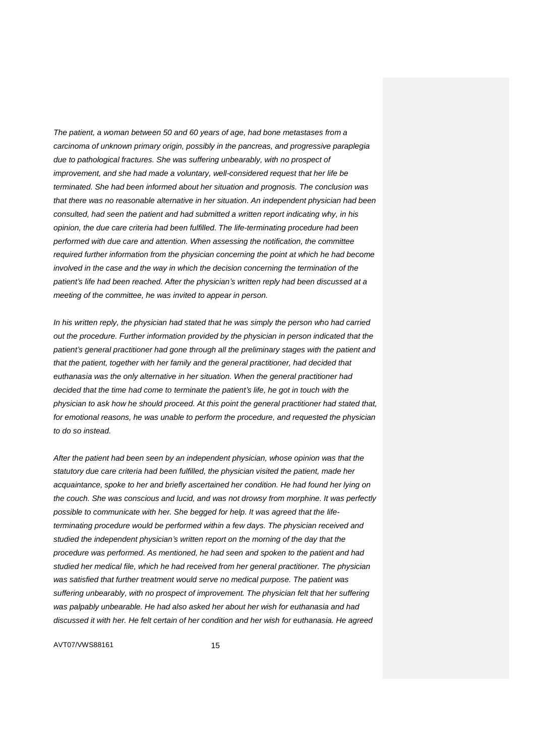*The patient, a woman between 50 and 60 years of age, had bone metastases from a carcinoma of unknown primary origin, possibly in the pancreas, and progressive paraplegia due to pathological fractures. She was suffering unbearably, with no prospect of improvement, and she had made a voluntary, well-considered request that her life be terminated. She had been informed about her situation and prognosis. The conclusion was that there was no reasonable alternative in her situation. An independent physician had been consulted, had seen the patient and had submitted a written report indicating why, in his opinion, the due care criteria had been fulfilled. The life-terminating procedure had been performed with due care and attention. When assessing the notification, the committee required further information from the physician concerning the point at which he had become involved in the case and the way in which the decision concerning the termination of the patient's life had been reached. After the physician's written reply had been discussed at a meeting of the committee, he was invited to appear in person.*

*In his written reply, the physician had stated that he was simply the person who had carried out the procedure. Further information provided by the physician in person indicated that the patient's general practitioner had gone through all the preliminary stages with the patient and that the patient, together with her family and the general practitioner, had decided that euthanasia was the only alternative in her situation. When the general practitioner had decided that the time had come to terminate the patient's life, he got in touch with the physician to ask how he should proceed. At this point the general practitioner had stated that, for emotional reasons, he was unable to perform the procedure, and requested the physician to do so instead.*

*After the patient had been seen by an independent physician, whose opinion was that the statutory due care criteria had been fulfilled, the physician visited the patient, made her acquaintance, spoke to her and briefly ascertained her condition. He had found her lying on the couch. She was conscious and lucid, and was not drowsy from morphine. It was perfectly possible to communicate with her. She begged for help. It was agreed that the lifeterminating procedure would be performed within a few days. The physician received and studied the independent physician's written report on the morning of the day that the procedure was performed. As mentioned, he had seen and spoken to the patient and had studied her medical file, which he had received from her general practitioner. The physician was satisfied that further treatment would serve no medical purpose. The patient was suffering unbearably, with no prospect of improvement. The physician felt that her suffering was palpably unbearable. He had also asked her about her wish for euthanasia and had discussed it with her. He felt certain of her condition and her wish for euthanasia. He agreed*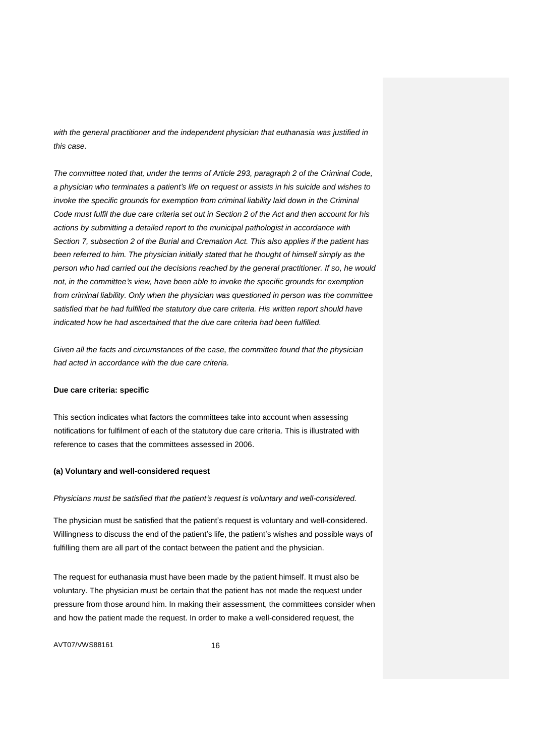*with the general practitioner and the independent physician that euthanasia was justified in this case.*

*The committee noted that, under the terms of Article 293, paragraph 2 of the Criminal Code, a physician who terminates a patient's life on request or assists in his suicide and wishes to invoke the specific grounds for exemption from criminal liability laid down in the Criminal Code must fulfil the due care criteria set out in Section 2 of the Act and then account for his actions by submitting a detailed report to the municipal pathologist in accordance with Section 7, subsection 2 of the Burial and Cremation Act. This also applies if the patient has been referred to him. The physician initially stated that he thought of himself simply as the person who had carried out the decisions reached by the general practitioner. If so, he would not, in the committee's view, have been able to invoke the specific grounds for exemption from criminal liability. Only when the physician was questioned in person was the committee satisfied that he had fulfilled the statutory due care criteria. His written report should have indicated how he had ascertained that the due care criteria had been fulfilled.*

*Given all the facts and circumstances of the case, the committee found that the physician had acted in accordance with the due care criteria.*

### **Due care criteria: specific**

This section indicates what factors the committees take into account when assessing notifications for fulfilment of each of the statutory due care criteria. This is illustrated with reference to cases that the committees assessed in 2006.

### **(a) Voluntary and well-considered request**

#### *Physicians must be satisfied that the patient's request is voluntary and well-considered.*

The physician must be satisfied that the patient's request is voluntary and well-considered. Willingness to discuss the end of the patient's life, the patient's wishes and possible ways of fulfilling them are all part of the contact between the patient and the physician.

The request for euthanasia must have been made by the patient himself. It must also be voluntary. The physician must be certain that the patient has not made the request under pressure from those around him. In making their assessment, the committees consider when and how the patient made the request. In order to make a well-considered request, the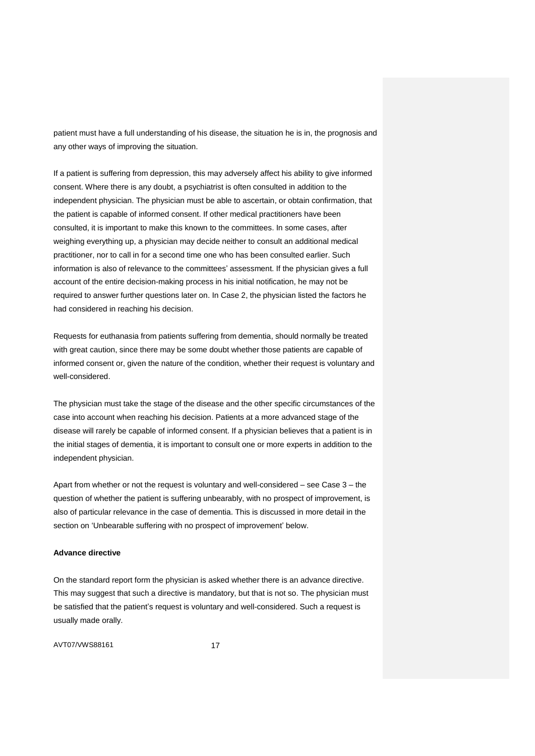patient must have a full understanding of his disease, the situation he is in, the prognosis and any other ways of improving the situation.

If a patient is suffering from depression, this may adversely affect his ability to give informed consent. Where there is any doubt, a psychiatrist is often consulted in addition to the independent physician. The physician must be able to ascertain, or obtain confirmation, that the patient is capable of informed consent. If other medical practitioners have been consulted, it is important to make this known to the committees. In some cases, after weighing everything up, a physician may decide neither to consult an additional medical practitioner, nor to call in for a second time one who has been consulted earlier. Such information is also of relevance to the committees' assessment. If the physician gives a full account of the entire decision-making process in his initial notification, he may not be required to answer further questions later on. In Case 2, the physician listed the factors he had considered in reaching his decision.

Requests for euthanasia from patients suffering from dementia, should normally be treated with great caution, since there may be some doubt whether those patients are capable of informed consent or, given the nature of the condition, whether their request is voluntary and well-considered.

The physician must take the stage of the disease and the other specific circumstances of the case into account when reaching his decision. Patients at a more advanced stage of the disease will rarely be capable of informed consent. If a physician believes that a patient is in the initial stages of dementia, it is important to consult one or more experts in addition to the independent physician.

Apart from whether or not the request is voluntary and well-considered – see Case 3 – the question of whether the patient is suffering unbearably, with no prospect of improvement, is also of particular relevance in the case of dementia. This is discussed in more detail in the section on 'Unbearable suffering with no prospect of improvement' below.

#### **Advance directive**

On the standard report form the physician is asked whether there is an advance directive. This may suggest that such a directive is mandatory, but that is not so. The physician must be satisfied that the patient's request is voluntary and well-considered. Such a request is usually made orally.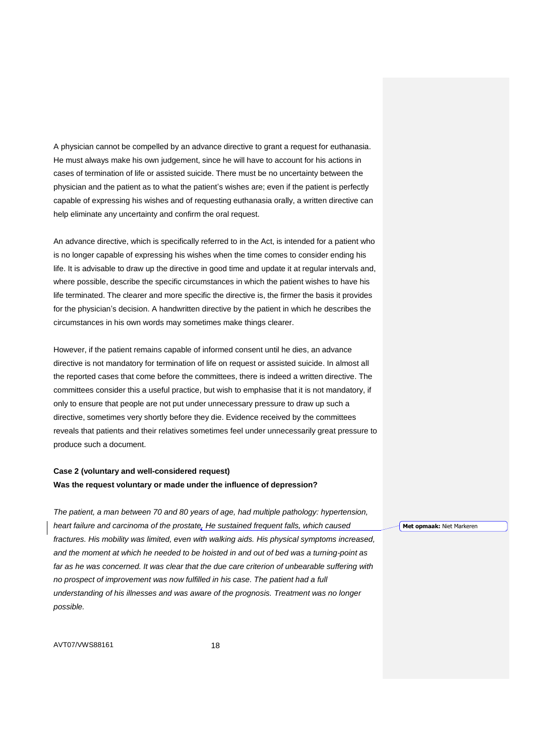A physician cannot be compelled by an advance directive to grant a request for euthanasia. He must always make his own judgement, since he will have to account for his actions in cases of termination of life or assisted suicide. There must be no uncertainty between the physician and the patient as to what the patient's wishes are; even if the patient is perfectly capable of expressing his wishes and of requesting euthanasia orally, a written directive can help eliminate any uncertainty and confirm the oral request.

An advance directive, which is specifically referred to in the Act, is intended for a patient who is no longer capable of expressing his wishes when the time comes to consider ending his life. It is advisable to draw up the directive in good time and update it at regular intervals and, where possible, describe the specific circumstances in which the patient wishes to have his life terminated. The clearer and more specific the directive is, the firmer the basis it provides for the physician's decision. A handwritten directive by the patient in which he describes the circumstances in his own words may sometimes make things clearer.

However, if the patient remains capable of informed consent until he dies, an advance directive is not mandatory for termination of life on request or assisted suicide. In almost all the reported cases that come before the committees, there is indeed a written directive. The committees consider this a useful practice, but wish to emphasise that it is not mandatory, if only to ensure that people are not put under unnecessary pressure to draw up such a directive, sometimes very shortly before they die. Evidence received by the committees reveals that patients and their relatives sometimes feel under unnecessarily great pressure to produce such a document.

# **Case 2 (voluntary and well-considered request) Was the request voluntary or made under the influence of depression?**

*The patient, a man between 70 and 80 years of age, had multiple pathology: hypertension, heart failure and carcinoma of the prostate. He sustained frequent falls, which caused fractures. His mobility was limited, even with walking aids. His physical symptoms increased, and the moment at which he needed to be hoisted in and out of bed was a turning-point as far as he was concerned. It was clear that the due care criterion of unbearable suffering with no prospect of improvement was now fulfilled in his case. The patient had a full understanding of his illnesses and was aware of the prognosis. Treatment was no longer possible.*

AVT07/VWS88161 18

**Met opmaak:** Niet Markeren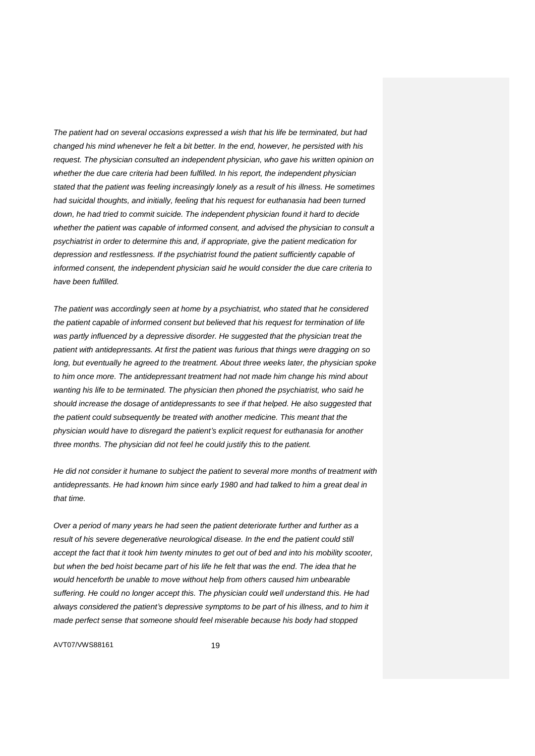*The patient had on several occasions expressed a wish that his life be terminated, but had changed his mind whenever he felt a bit better. In the end, however, he persisted with his request. The physician consulted an independent physician, who gave his written opinion on whether the due care criteria had been fulfilled. In his report, the independent physician stated that the patient was feeling increasingly lonely as a result of his illness. He sometimes had suicidal thoughts, and initially, feeling that his request for euthanasia had been turned down, he had tried to commit suicide. The independent physician found it hard to decide whether the patient was capable of informed consent, and advised the physician to consult a psychiatrist in order to determine this and, if appropriate, give the patient medication for depression and restlessness. If the psychiatrist found the patient sufficiently capable of informed consent, the independent physician said he would consider the due care criteria to have been fulfilled.*

*The patient was accordingly seen at home by a psychiatrist, who stated that he considered the patient capable of informed consent but believed that his request for termination of life*  was partly influenced by a depressive disorder. He suggested that the physician treat the *patient with antidepressants. At first the patient was furious that things were dragging on so long, but eventually he agreed to the treatment. About three weeks later, the physician spoke to him once more. The antidepressant treatment had not made him change his mind about wanting his life to be terminated. The physician then phoned the psychiatrist, who said he should increase the dosage of antidepressants to see if that helped. He also suggested that the patient could subsequently be treated with another medicine. This meant that the physician would have to disregard the patient's explicit request for euthanasia for another three months. The physician did not feel he could justify this to the patient.*

*He did not consider it humane to subject the patient to several more months of treatment with antidepressants. He had known him since early 1980 and had talked to him a great deal in that time.*

*Over a period of many years he had seen the patient deteriorate further and further as a result of his severe degenerative neurological disease. In the end the patient could still accept the fact that it took him twenty minutes to get out of bed and into his mobility scooter, but when the bed hoist became part of his life he felt that was the end. The idea that he would henceforth be unable to move without help from others caused him unbearable suffering. He could no longer accept this. The physician could well understand this. He had always considered the patient's depressive symptoms to be part of his illness, and to him it made perfect sense that someone should feel miserable because his body had stopped*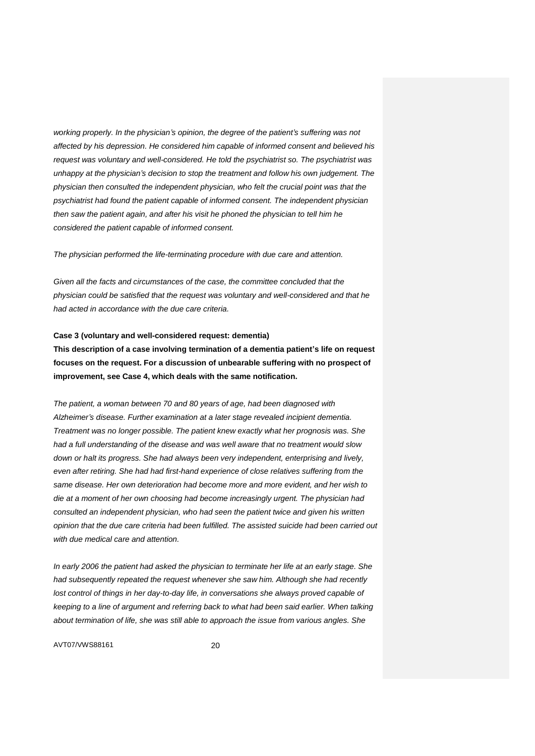*working properly. In the physician's opinion, the degree of the patient's suffering was not affected by his depression. He considered him capable of informed consent and believed his request was voluntary and well-considered. He told the psychiatrist so. The psychiatrist was unhappy at the physician's decision to stop the treatment and follow his own judgement. The physician then consulted the independent physician, who felt the crucial point was that the psychiatrist had found the patient capable of informed consent. The independent physician then saw the patient again, and after his visit he phoned the physician to tell him he considered the patient capable of informed consent.*

*The physician performed the life-terminating procedure with due care and attention.*

*Given all the facts and circumstances of the case, the committee concluded that the physician could be satisfied that the request was voluntary and well-considered and that he had acted in accordance with the due care criteria.*

### **Case 3 (voluntary and well-considered request: dementia)**

**This description of a case involving termination of a dementia patient's life on request focuses on the request. For a discussion of unbearable suffering with no prospect of improvement, see Case 4, which deals with the same notification.**

*The patient, a woman between 70 and 80 years of age, had been diagnosed with Alzheimer's disease. Further examination at a later stage revealed incipient dementia. Treatment was no longer possible. The patient knew exactly what her prognosis was. She had a full understanding of the disease and was well aware that no treatment would slow down or halt its progress. She had always been very independent, enterprising and lively, even after retiring. She had had first-hand experience of close relatives suffering from the same disease. Her own deterioration had become more and more evident, and her wish to die at a moment of her own choosing had become increasingly urgent. The physician had consulted an independent physician, who had seen the patient twice and given his written opinion that the due care criteria had been fulfilled. The assisted suicide had been carried out with due medical care and attention.*

*In early 2006 the patient had asked the physician to terminate her life at an early stage. She had subsequently repeated the request whenever she saw him. Although she had recently*  lost control of things in her day-to-day life, in conversations she always proved capable of *keeping to a line of argument and referring back to what had been said earlier. When talking about termination of life, she was still able to approach the issue from various angles. She*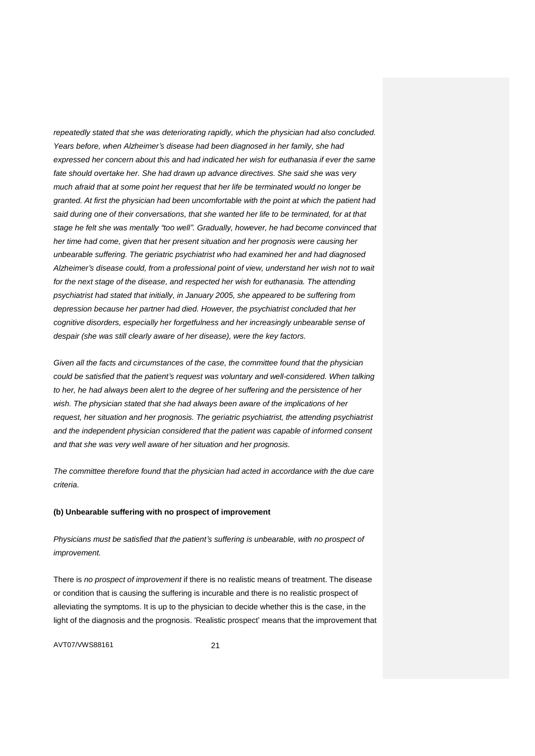*repeatedly stated that she was deteriorating rapidly, which the physician had also concluded. Years before, when Alzheimer's disease had been diagnosed in her family, she had expressed her concern about this and had indicated her wish for euthanasia if ever the same fate should overtake her. She had drawn up advance directives. She said she was very much afraid that at some point her request that her life be terminated would no longer be granted. At first the physician had been uncomfortable with the point at which the patient had said during one of their conversations, that she wanted her life to be terminated, for at that stage he felt she was mentally "too well". Gradually, however, he had become convinced that her time had come, given that her present situation and her prognosis were causing her unbearable suffering. The geriatric psychiatrist who had examined her and had diagnosed Alzheimer's disease could, from a professional point of view, understand her wish not to wait for the next stage of the disease, and respected her wish for euthanasia. The attending psychiatrist had stated that initially, in January 2005, she appeared to be suffering from depression because her partner had died. However, the psychiatrist concluded that her cognitive disorders, especially her forgetfulness and her increasingly unbearable sense of despair (she was still clearly aware of her disease), were the key factors.*

*Given all the facts and circumstances of the case, the committee found that the physician could be satisfied that the patient's request was voluntary and well-considered. When talking to her, he had always been alert to the degree of her suffering and the persistence of her wish. The physician stated that she had always been aware of the implications of her request, her situation and her prognosis. The geriatric psychiatrist, the attending psychiatrist and the independent physician considered that the patient was capable of informed consent and that she was very well aware of her situation and her prognosis.*

*The committee therefore found that the physician had acted in accordance with the due care criteria.*

### **(b) Unbearable suffering with no prospect of improvement**

*Physicians must be satisfied that the patient's suffering is unbearable, with no prospect of improvement.*

There is *no prospect of improvement* if there is no realistic means of treatment. The disease or condition that is causing the suffering is incurable and there is no realistic prospect of alleviating the symptoms. It is up to the physician to decide whether this is the case, in the light of the diagnosis and the prognosis. 'Realistic prospect' means that the improvement that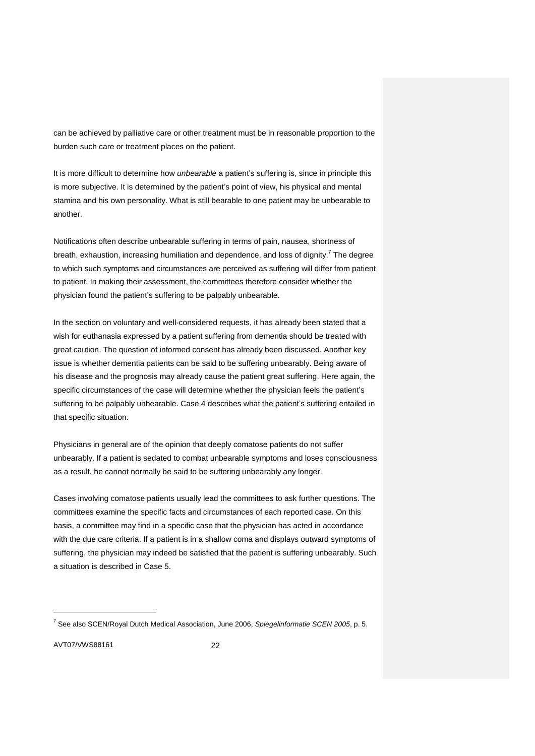can be achieved by palliative care or other treatment must be in reasonable proportion to the burden such care or treatment places on the patient.

It is more difficult to determine how *unbearable* a patient's suffering is, since in principle this is more subjective. It is determined by the patient's point of view, his physical and mental stamina and his own personality. What is still bearable to one patient may be unbearable to another.

Notifications often describe unbearable suffering in terms of pain, nausea, shortness of breath, exhaustion, increasing humiliation and dependence, and loss of dignity.<sup>7</sup> The degree to which such symptoms and circumstances are perceived as suffering will differ from patient to patient. In making their assessment, the committees therefore consider whether the physician found the patient's suffering to be palpably unbearable.

In the section on voluntary and well-considered requests, it has already been stated that a wish for euthanasia expressed by a patient suffering from dementia should be treated with great caution. The question of informed consent has already been discussed. Another key issue is whether dementia patients can be said to be suffering unbearably. Being aware of his disease and the prognosis may already cause the patient great suffering. Here again, the specific circumstances of the case will determine whether the physician feels the patient's suffering to be palpably unbearable. Case 4 describes what the patient's suffering entailed in that specific situation.

Physicians in general are of the opinion that deeply comatose patients do not suffer unbearably. If a patient is sedated to combat unbearable symptoms and loses consciousness as a result, he cannot normally be said to be suffering unbearably any longer.

Cases involving comatose patients usually lead the committees to ask further questions. The committees examine the specific facts and circumstances of each reported case. On this basis, a committee may find in a specific case that the physician has acted in accordance with the due care criteria. If a patient is in a shallow coma and displays outward symptoms of suffering, the physician may indeed be satisfied that the patient is suffering unbearably. Such a situation is described in Case 5.

AVT07/VWS88161 22

<sup>7</sup> See also SCEN/Royal Dutch Medical Association, June 2006, *Spiegelinformatie SCEN 2005*, p. 5.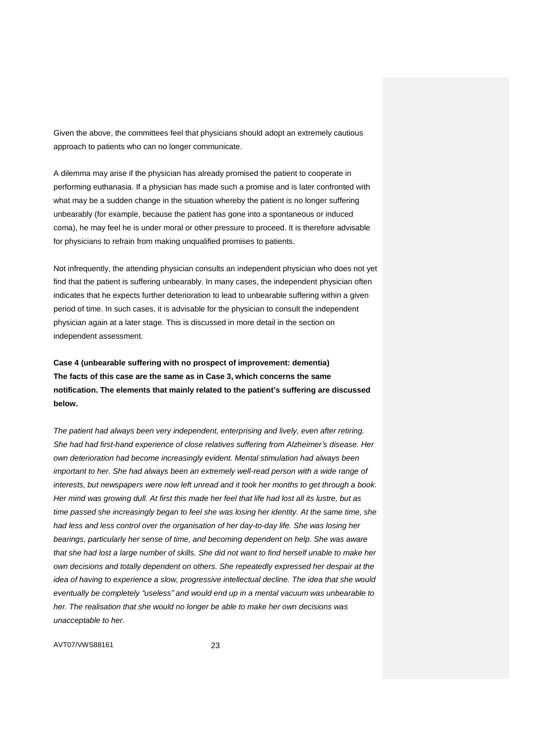Given the above, the committees feel that physicians should adopt an extremely cautious approach to patients who can no longer communicate.

A dilemma may arise if the physician has already promised the patient to cooperate in performing euthanasia. If a physician has made such a promise and is later confronted with what may be a sudden change in the situation whereby the patient is no longer suffering unbearably (for example, because the patient has gone into a spontaneous or induced coma), he may feel he is under moral or other pressure to proceed. It is therefore advisable for physicians to refrain from making unqualified promises to patients.

Not infrequently, the attending physician consults an independent physician who does not yet find that the patient is suffering unbearably. In many cases, the independent physician often indicates that he expects further deterioration to lead to unbearable suffering within a given period of time. In such cases, it is advisable for the physician to consult the independent physician again at a later stage. This is discussed in more detail in the section on independent assessment.

**Case 4 (unbearable suffering with no prospect of improvement: dementia) The facts of this case are the same as in Case 3, which concerns the same notification. The elements that mainly related to the patient's suffering are discussed below.**

*The patient had always been very independent, enterprising and lively, even after retiring. She had had first-hand experience of close relatives suffering from Alzheimer's disease. Her own deterioration had become increasingly evident. Mental stimulation had always been important to her. She had always been an extremely well-read person with a wide range of interests, but newspapers were now left unread and it took her months to get through a book. Her mind was growing dull. At first this made her feel that life had lost all its lustre, but as time passed she increasingly began to feel she was losing her identity. At the same time, she had less and less control over the organisation of her day-to-day life. She was losing her bearings, particularly her sense of time, and becoming dependent on help. She was aware that she had lost a large number of skills. She did not want to find herself unable to make her own decisions and totally dependent on others. She repeatedly expressed her despair at the idea of having to experience a slow, progressive intellectual decline. The idea that she would eventually be completely "useless" and would end up in a mental vacuum was unbearable to her. The realisation that she would no longer be able to make her own decisions was unacceptable to her.*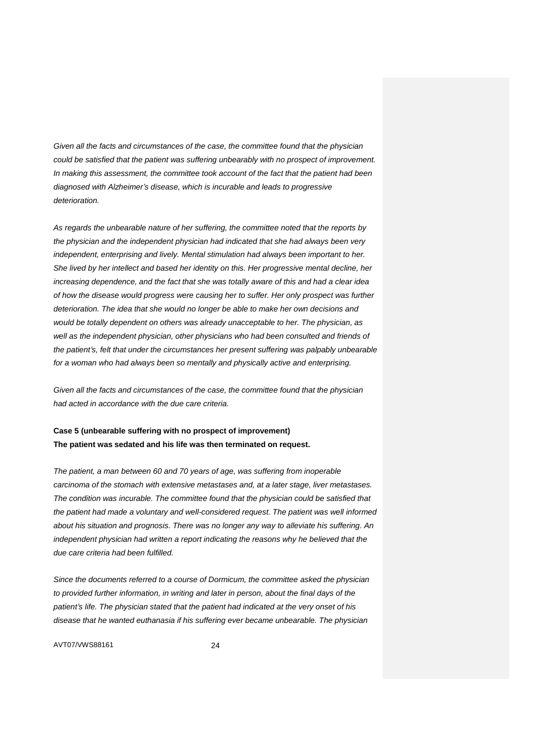*Given all the facts and circumstances of the case, the committee found that the physician could be satisfied that the patient was suffering unbearably with no prospect of improvement. In making this assessment, the committee took account of the fact that the patient had been diagnosed with Alzheimer's disease, which is incurable and leads to progressive deterioration.*

*As regards the unbearable nature of her suffering, the committee noted that the reports by the physician and the independent physician had indicated that she had always been very independent, enterprising and lively. Mental stimulation had always been important to her. She lived by her intellect and based her identity on this. Her progressive mental decline, her increasing dependence, and the fact that she was totally aware of this and had a clear idea of how the disease would progress were causing her to suffer. Her only prospect was further deterioration. The idea that she would no longer be able to make her own decisions and would be totally dependent on others was already unacceptable to her. The physician, as well as the independent physician, other physicians who had been consulted and friends of the patient's, felt that under the circumstances her present suffering was palpably unbearable for a woman who had always been so mentally and physically active and enterprising.*

*Given all the facts and circumstances of the case, the committee found that the physician had acted in accordance with the due care criteria.*

# **Case 5 (unbearable suffering with no prospect of improvement) The patient was sedated and his life was then terminated on request.**

*The patient, a man between 60 and 70 years of age, was suffering from inoperable carcinoma of the stomach with extensive metastases and, at a later stage, liver metastases. The condition was incurable. The committee found that the physician could be satisfied that the patient had made a voluntary and well-considered request. The patient was well informed about his situation and prognosis. There was no longer any way to alleviate his suffering. An independent physician had written a report indicating the reasons why he believed that the due care criteria had been fulfilled.*

*Since the documents referred to a course of Dormicum, the committee asked the physician to provided further information, in writing and later in person, about the final days of the patient's life. The physician stated that the patient had indicated at the very onset of his disease that he wanted euthanasia if his suffering ever became unbearable. The physician*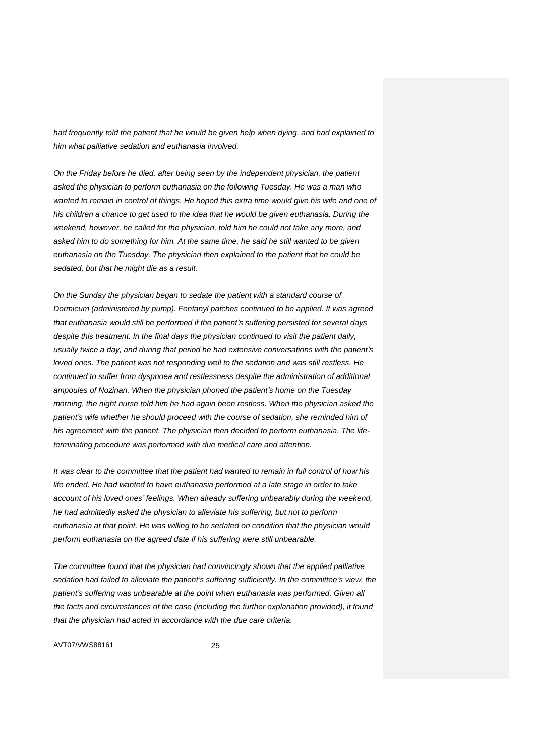*had frequently told the patient that he would be given help when dying, and had explained to him what palliative sedation and euthanasia involved.*

*On the Friday before he died, after being seen by the independent physician, the patient asked the physician to perform euthanasia on the following Tuesday. He was a man who wanted to remain in control of things. He hoped this extra time would give his wife and one of his children a chance to get used to the idea that he would be given euthanasia. During the weekend, however, he called for the physician, told him he could not take any more, and asked him to do something for him. At the same time, he said he still wanted to be given euthanasia on the Tuesday. The physician then explained to the patient that he could be sedated, but that he might die as a result.*

*On the Sunday the physician began to sedate the patient with a standard course of Dormicum (administered by pump). Fentanyl patches continued to be applied. It was agreed that euthanasia would still be performed if the patient's suffering persisted for several days despite this treatment. In the final days the physician continued to visit the patient daily, usually twice a day, and during that period he had extensive conversations with the patient's loved ones. The patient was not responding well to the sedation and was still restless. He continued to suffer from dyspnoea and restlessness despite the administration of additional ampoules of Nozinan. When the physician phoned the patient's home on the Tuesday morning, the night nurse told him he had again been restless. When the physician asked the patient's wife whether he should proceed with the course of sedation, she reminded him of his agreement with the patient. The physician then decided to perform euthanasia. The lifeterminating procedure was performed with due medical care and attention.*

*It was clear to the committee that the patient had wanted to remain in full control of how his life ended. He had wanted to have euthanasia performed at a late stage in order to take account of his loved ones' feelings. When already suffering unbearably during the weekend, he had admittedly asked the physician to alleviate his suffering, but not to perform euthanasia at that point. He was willing to be sedated on condition that the physician would perform euthanasia on the agreed date if his suffering were still unbearable.*

*The committee found that the physician had convincingly shown that the applied palliative sedation had failed to alleviate the patient's suffering sufficiently. In the committee's view, the*  patient's suffering was unbearable at the point when euthanasia was performed. Given all *the facts and circumstances of the case (including the further explanation provided), it found that the physician had acted in accordance with the due care criteria.*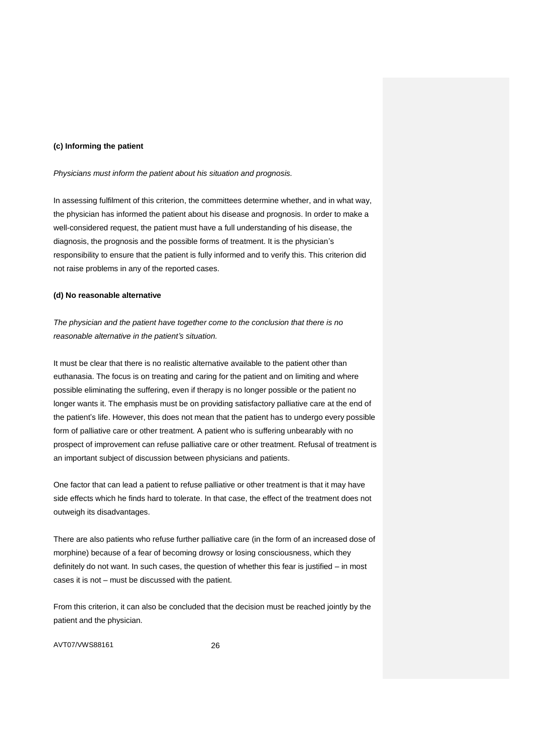### **(c) Informing the patient**

*Physicians must inform the patient about his situation and prognosis.*

In assessing fulfilment of this criterion, the committees determine whether, and in what way, the physician has informed the patient about his disease and prognosis. In order to make a well-considered request, the patient must have a full understanding of his disease, the diagnosis, the prognosis and the possible forms of treatment. It is the physician's responsibility to ensure that the patient is fully informed and to verify this. This criterion did not raise problems in any of the reported cases.

### **(d) No reasonable alternative**

*The physician and the patient have together come to the conclusion that there is no reasonable alternative in the patient's situation.*

It must be clear that there is no realistic alternative available to the patient other than euthanasia. The focus is on treating and caring for the patient and on limiting and where possible eliminating the suffering, even if therapy is no longer possible or the patient no longer wants it. The emphasis must be on providing satisfactory palliative care at the end of the patient's life. However, this does not mean that the patient has to undergo every possible form of palliative care or other treatment. A patient who is suffering unbearably with no prospect of improvement can refuse palliative care or other treatment. Refusal of treatment is an important subject of discussion between physicians and patients.

One factor that can lead a patient to refuse palliative or other treatment is that it may have side effects which he finds hard to tolerate. In that case, the effect of the treatment does not outweigh its disadvantages.

There are also patients who refuse further palliative care (in the form of an increased dose of morphine) because of a fear of becoming drowsy or losing consciousness, which they definitely do not want. In such cases, the question of whether this fear is justified – in most cases it is not – must be discussed with the patient.

From this criterion, it can also be concluded that the decision must be reached jointly by the patient and the physician.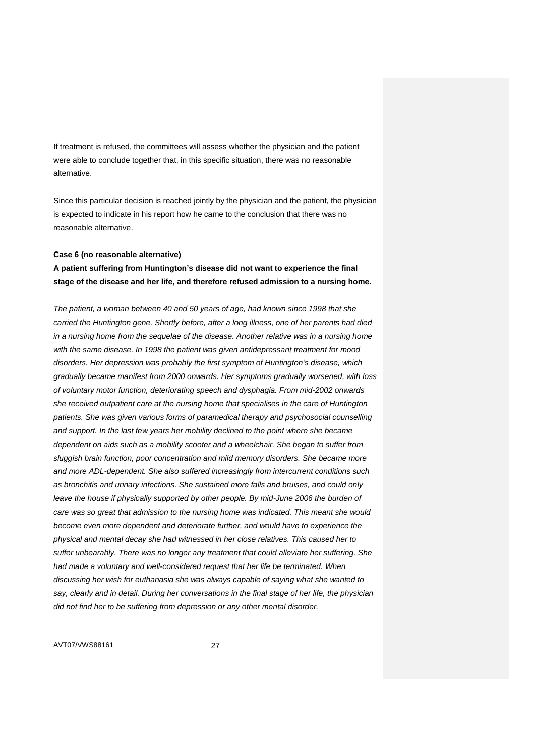If treatment is refused, the committees will assess whether the physician and the patient were able to conclude together that, in this specific situation, there was no reasonable alternative.

Since this particular decision is reached jointly by the physician and the patient, the physician is expected to indicate in his report how he came to the conclusion that there was no reasonable alternative.

### **Case 6 (no reasonable alternative)**

**A patient suffering from Huntington's disease did not want to experience the final stage of the disease and her life, and therefore refused admission to a nursing home.**

*The patient, a woman between 40 and 50 years of age, had known since 1998 that she carried the Huntington gene. Shortly before, after a long illness, one of her parents had died in a nursing home from the sequelae of the disease. Another relative was in a nursing home with the same disease. In 1998 the patient was given antidepressant treatment for mood disorders. Her depression was probably the first symptom of Huntington's disease, which gradually became manifest from 2000 onwards. Her symptoms gradually worsened, with loss of voluntary motor function, deteriorating speech and dysphagia. From mid-2002 onwards she received outpatient care at the nursing home that specialises in the care of Huntington patients. She was given various forms of paramedical therapy and psychosocial counselling and support. In the last few years her mobility declined to the point where she became dependent on aids such as a mobility scooter and a wheelchair. She began to suffer from sluggish brain function, poor concentration and mild memory disorders. She became more and more ADL-dependent. She also suffered increasingly from intercurrent conditions such as bronchitis and urinary infections. She sustained more falls and bruises, and could only*  leave the house if physically supported by other people. By mid-June 2006 the burden of *care was so great that admission to the nursing home was indicated. This meant she would become even more dependent and deteriorate further, and would have to experience the physical and mental decay she had witnessed in her close relatives. This caused her to suffer unbearably. There was no longer any treatment that could alleviate her suffering. She had made a voluntary and well-considered request that her life be terminated. When discussing her wish for euthanasia she was always capable of saying what she wanted to say, clearly and in detail. During her conversations in the final stage of her life, the physician did not find her to be suffering from depression or any other mental disorder.*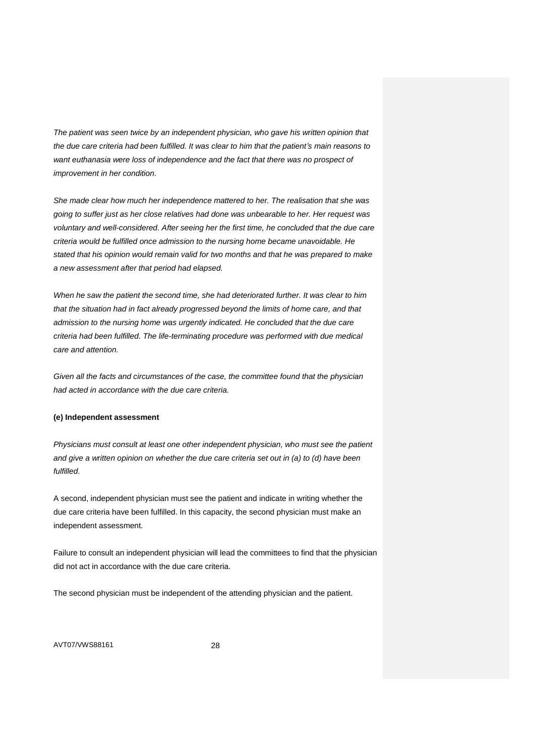*The patient was seen twice by an independent physician, who gave his written opinion that the due care criteria had been fulfilled. It was clear to him that the patient's main reasons to want euthanasia were loss of independence and the fact that there was no prospect of improvement in her condition.*

*She made clear how much her independence mattered to her. The realisation that she was going to suffer just as her close relatives had done was unbearable to her. Her request was voluntary and well-considered. After seeing her the first time, he concluded that the due care criteria would be fulfilled once admission to the nursing home became unavoidable. He stated that his opinion would remain valid for two months and that he was prepared to make a new assessment after that period had elapsed.*

*When he saw the patient the second time, she had deteriorated further. It was clear to him that the situation had in fact already progressed beyond the limits of home care, and that admission to the nursing home was urgently indicated. He concluded that the due care criteria had been fulfilled. The life-terminating procedure was performed with due medical care and attention.*

*Given all the facts and circumstances of the case, the committee found that the physician had acted in accordance with the due care criteria.*

### **(e) Independent assessment**

*Physicians must consult at least one other independent physician, who must see the patient*  and give a written opinion on whether the due care criteria set out in (a) to (d) have been *fulfilled.*

A second, independent physician must see the patient and indicate in writing whether the due care criteria have been fulfilled. In this capacity, the second physician must make an independent assessment.

Failure to consult an independent physician will lead the committees to find that the physician did not act in accordance with the due care criteria.

The second physician must be independent of the attending physician and the patient.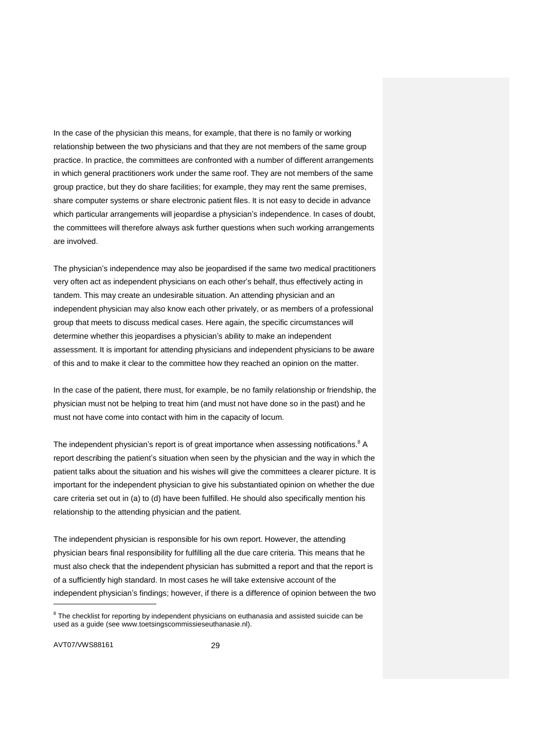In the case of the physician this means, for example, that there is no family or working relationship between the two physicians and that they are not members of the same group practice. In practice, the committees are confronted with a number of different arrangements in which general practitioners work under the same roof. They are not members of the same group practice, but they do share facilities; for example, they may rent the same premises, share computer systems or share electronic patient files. It is not easy to decide in advance which particular arrangements will jeopardise a physician's independence. In cases of doubt, the committees will therefore always ask further questions when such working arrangements are involved.

The physician's independence may also be jeopardised if the same two medical practitioners very often act as independent physicians on each other's behalf, thus effectively acting in tandem. This may create an undesirable situation. An attending physician and an independent physician may also know each other privately, or as members of a professional group that meets to discuss medical cases. Here again, the specific circumstances will determine whether this jeopardises a physician's ability to make an independent assessment. It is important for attending physicians and independent physicians to be aware of this and to make it clear to the committee how they reached an opinion on the matter.

In the case of the patient, there must, for example, be no family relationship or friendship, the physician must not be helping to treat him (and must not have done so in the past) and he must not have come into contact with him in the capacity of locum.

The independent physician's report is of great importance when assessing notifications.<sup>8</sup> A report describing the patient's situation when seen by the physician and the way in which the patient talks about the situation and his wishes will give the committees a clearer picture. It is important for the independent physician to give his substantiated opinion on whether the due care criteria set out in (a) to (d) have been fulfilled. He should also specifically mention his relationship to the attending physician and the patient.

The independent physician is responsible for his own report. However, the attending physician bears final responsibility for fulfilling all the due care criteria. This means that he must also check that the independent physician has submitted a report and that the report is of a sufficiently high standard. In most cases he will take extensive account of the independent physician's findings; however, if there is a difference of opinion between the two

AVT07/VWS88161 29

 $8$  The checklist for reporting by independent physicians on euthanasia and assisted suicide can be used as a guide (see www.toetsingscommissieseuthanasie.nl).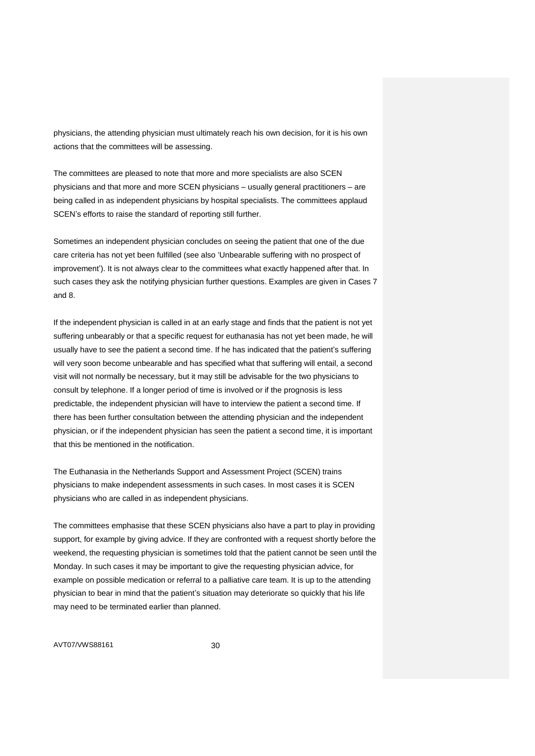physicians, the attending physician must ultimately reach his own decision, for it is his own actions that the committees will be assessing.

The committees are pleased to note that more and more specialists are also SCEN physicians and that more and more SCEN physicians – usually general practitioners – are being called in as independent physicians by hospital specialists. The committees applaud SCEN's efforts to raise the standard of reporting still further.

Sometimes an independent physician concludes on seeing the patient that one of the due care criteria has not yet been fulfilled (see also 'Unbearable suffering with no prospect of improvement'). It is not always clear to the committees what exactly happened after that. In such cases they ask the notifying physician further questions. Examples are given in Cases 7 and 8.

If the independent physician is called in at an early stage and finds that the patient is not yet suffering unbearably or that a specific request for euthanasia has not yet been made, he will usually have to see the patient a second time. If he has indicated that the patient's suffering will very soon become unbearable and has specified what that suffering will entail, a second visit will not normally be necessary, but it may still be advisable for the two physicians to consult by telephone. If a longer period of time is involved or if the prognosis is less predictable, the independent physician will have to interview the patient a second time. If there has been further consultation between the attending physician and the independent physician, or if the independent physician has seen the patient a second time, it is important that this be mentioned in the notification.

The Euthanasia in the Netherlands Support and Assessment Project (SCEN) trains physicians to make independent assessments in such cases. In most cases it is SCEN physicians who are called in as independent physicians.

The committees emphasise that these SCEN physicians also have a part to play in providing support, for example by giving advice. If they are confronted with a request shortly before the weekend, the requesting physician is sometimes told that the patient cannot be seen until the Monday. In such cases it may be important to give the requesting physician advice, for example on possible medication or referral to a palliative care team. It is up to the attending physician to bear in mind that the patient's situation may deteriorate so quickly that his life may need to be terminated earlier than planned.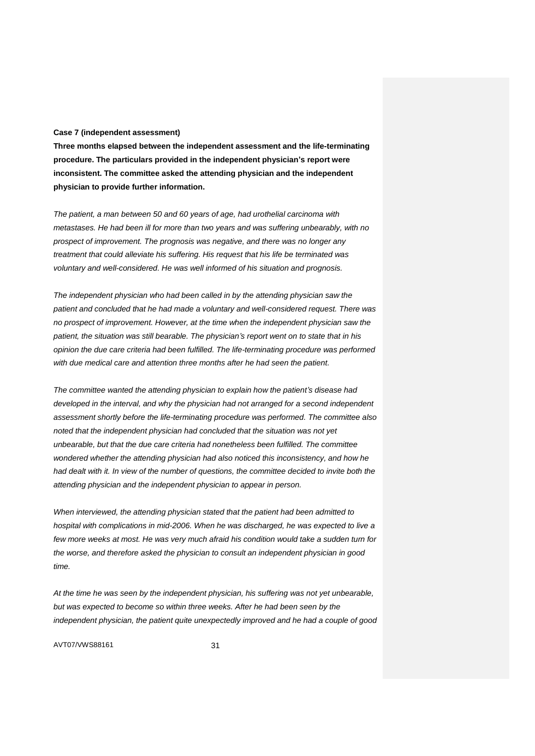### **Case 7 (independent assessment)**

**Three months elapsed between the independent assessment and the life-terminating procedure. The particulars provided in the independent physician's report were inconsistent. The committee asked the attending physician and the independent physician to provide further information.**

*The patient, a man between 50 and 60 years of age, had urothelial carcinoma with metastases. He had been ill for more than two years and was suffering unbearably, with no prospect of improvement. The prognosis was negative, and there was no longer any treatment that could alleviate his suffering. His request that his life be terminated was voluntary and well-considered. He was well informed of his situation and prognosis.*

*The independent physician who had been called in by the attending physician saw the patient and concluded that he had made a voluntary and well-considered request. There was no prospect of improvement. However, at the time when the independent physician saw the patient, the situation was still bearable. The physician's report went on to state that in his opinion the due care criteria had been fulfilled. The life-terminating procedure was performed with due medical care and attention three months after he had seen the patient.*

*The committee wanted the attending physician to explain how the patient's disease had developed in the interval, and why the physician had not arranged for a second independent assessment shortly before the life-terminating procedure was performed. The committee also noted that the independent physician had concluded that the situation was not yet unbearable, but that the due care criteria had nonetheless been fulfilled. The committee wondered whether the attending physician had also noticed this inconsistency, and how he had dealt with it. In view of the number of questions, the committee decided to invite both the attending physician and the independent physician to appear in person.*

*When interviewed, the attending physician stated that the patient had been admitted to hospital with complications in mid-2006. When he was discharged, he was expected to live a few more weeks at most. He was very much afraid his condition would take a sudden turn for the worse, and therefore asked the physician to consult an independent physician in good time.*

*At the time he was seen by the independent physician, his suffering was not yet unbearable, but was expected to become so within three weeks. After he had been seen by the independent physician, the patient quite unexpectedly improved and he had a couple of good*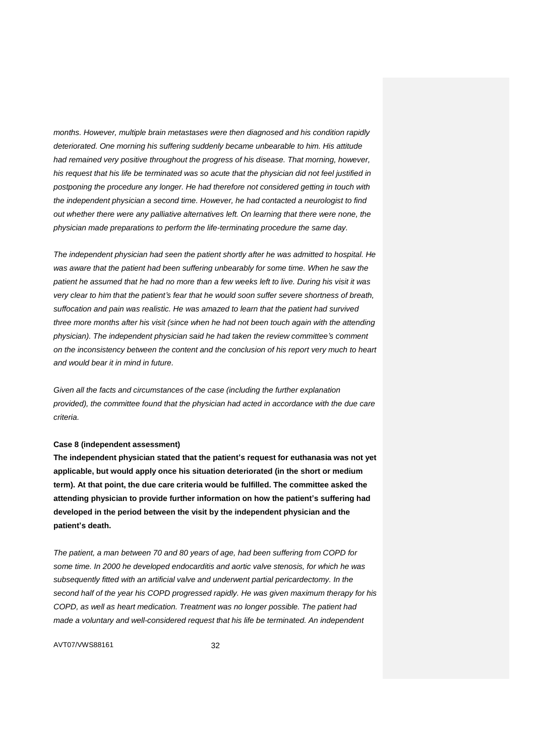*months. However, multiple brain metastases were then diagnosed and his condition rapidly deteriorated. One morning his suffering suddenly became unbearable to him. His attitude had remained very positive throughout the progress of his disease. That morning, however, his request that his life be terminated was so acute that the physician did not feel justified in postponing the procedure any longer. He had therefore not considered getting in touch with the independent physician a second time. However, he had contacted a neurologist to find out whether there were any palliative alternatives left. On learning that there were none, the physician made preparations to perform the life-terminating procedure the same day.*

*The independent physician had seen the patient shortly after he was admitted to hospital. He was aware that the patient had been suffering unbearably for some time. When he saw the patient he assumed that he had no more than a few weeks left to live. During his visit it was very clear to him that the patient's fear that he would soon suffer severe shortness of breath, suffocation and pain was realistic. He was amazed to learn that the patient had survived three more months after his visit (since when he had not been touch again with the attending physician). The independent physician said he had taken the review committee's comment on the inconsistency between the content and the conclusion of his report very much to heart and would bear it in mind in future.*

*Given all the facts and circumstances of the case (including the further explanation provided), the committee found that the physician had acted in accordance with the due care criteria.*

### **Case 8 (independent assessment)**

**The independent physician stated that the patient's request for euthanasia was not yet applicable, but would apply once his situation deteriorated (in the short or medium term). At that point, the due care criteria would be fulfilled. The committee asked the attending physician to provide further information on how the patient's suffering had developed in the period between the visit by the independent physician and the patient's death.**

*The patient, a man between 70 and 80 years of age, had been suffering from COPD for some time. In 2000 he developed endocarditis and aortic valve stenosis, for which he was subsequently fitted with an artificial valve and underwent partial pericardectomy. In the second half of the year his COPD progressed rapidly. He was given maximum therapy for his COPD, as well as heart medication. Treatment was no longer possible. The patient had made a voluntary and well-considered request that his life be terminated. An independent*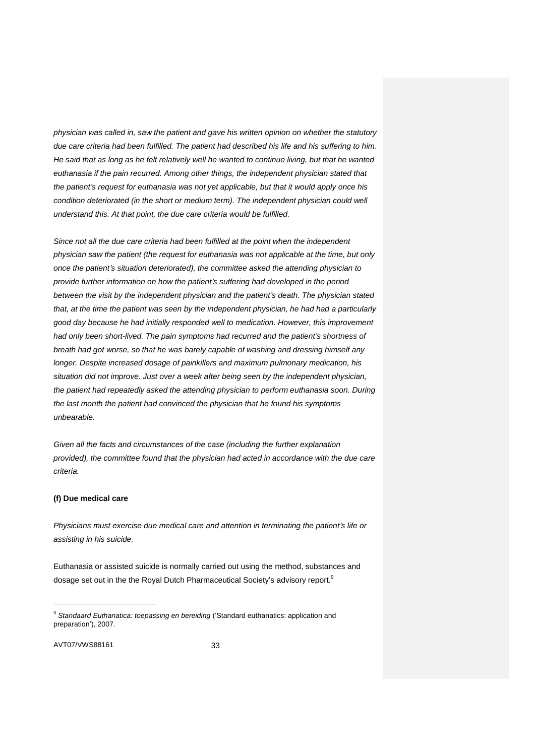*physician was called in, saw the patient and gave his written opinion on whether the statutory due care criteria had been fulfilled. The patient had described his life and his suffering to him. He said that as long as he felt relatively well he wanted to continue living, but that he wanted euthanasia if the pain recurred. Among other things, the independent physician stated that the patient's request for euthanasia was not yet applicable, but that it would apply once his*  condition deteriorated (in the short or medium term). The independent physician could well *understand this. At that point, the due care criteria would be fulfilled.*

*Since not all the due care criteria had been fulfilled at the point when the independent physician saw the patient (the request for euthanasia was not applicable at the time, but only once the patient's situation deteriorated), the committee asked the attending physician to provide further information on how the patient's suffering had developed in the period between the visit by the independent physician and the patient's death. The physician stated that, at the time the patient was seen by the independent physician, he had had a particularly good day because he had initially responded well to medication. However, this improvement had only been short-lived. The pain symptoms had recurred and the patient's shortness of breath had got worse, so that he was barely capable of washing and dressing himself any longer. Despite increased dosage of painkillers and maximum pulmonary medication, his situation did not improve. Just over a week after being seen by the independent physician, the patient had repeatedly asked the attending physician to perform euthanasia soon. During the last month the patient had convinced the physician that he found his symptoms unbearable.*

*Given all the facts and circumstances of the case (including the further explanation provided), the committee found that the physician had acted in accordance with the due care criteria.*

### **(f) Due medical care**

*Physicians must exercise due medical care and attention in terminating the patient's life or assisting in his suicide.*

Euthanasia or assisted suicide is normally carried out using the method, substances and dosage set out in the the Royal Dutch Pharmaceutical Society's advisory report.<sup>9</sup>

AVT07/VWS88161 33

<sup>&</sup>lt;sup>9</sup> Standaard Euthanatica: toepassing en bereiding ('Standard euthanatics: application and preparation'), 2007.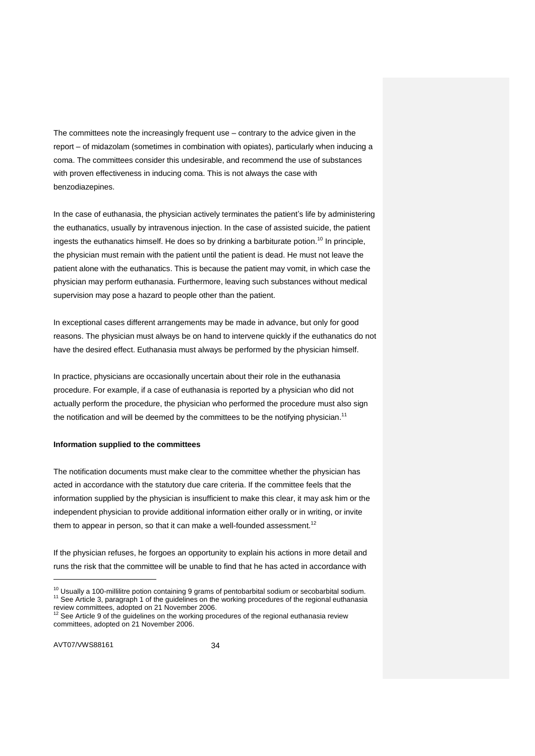The committees note the increasingly frequent use – contrary to the advice given in the report – of midazolam (sometimes in combination with opiates), particularly when inducing a coma. The committees consider this undesirable, and recommend the use of substances with proven effectiveness in inducing coma. This is not always the case with benzodiazepines.

In the case of euthanasia, the physician actively terminates the patient's life by administering the euthanatics, usually by intravenous injection. In the case of assisted suicide, the patient ingests the euthanatics himself. He does so by drinking a barbiturate potion.<sup>10</sup> In principle, the physician must remain with the patient until the patient is dead. He must not leave the patient alone with the euthanatics. This is because the patient may vomit, in which case the physician may perform euthanasia. Furthermore, leaving such substances without medical supervision may pose a hazard to people other than the patient.

In exceptional cases different arrangements may be made in advance, but only for good reasons. The physician must always be on hand to intervene quickly if the euthanatics do not have the desired effect. Euthanasia must always be performed by the physician himself.

In practice, physicians are occasionally uncertain about their role in the euthanasia procedure. For example, if a case of euthanasia is reported by a physician who did not actually perform the procedure, the physician who performed the procedure must also sign the notification and will be deemed by the committees to be the notifying physician.<sup>11</sup>

### **Information supplied to the committees**

The notification documents must make clear to the committee whether the physician has acted in accordance with the statutory due care criteria. If the committee feels that the information supplied by the physician is insufficient to make this clear, it may ask him or the independent physician to provide additional information either orally or in writing, or invite them to appear in person, so that it can make a well-founded assessment.<sup>12</sup>

If the physician refuses, he forgoes an opportunity to explain his actions in more detail and runs the risk that the committee will be unable to find that he has acted in accordance with

 $10$  Usually a 100-millilitre potion containing 9 grams of pentobarbital sodium or secobarbital sodium. <sup>11</sup> See Article 3, paragraph 1 of the guidelines on the working procedures of the regional euthanasia review committees, adopted on 21 November 2006.

See Article 9 of the guidelines on the working procedures of the regional euthanasia review committees, adopted on 21 November 2006.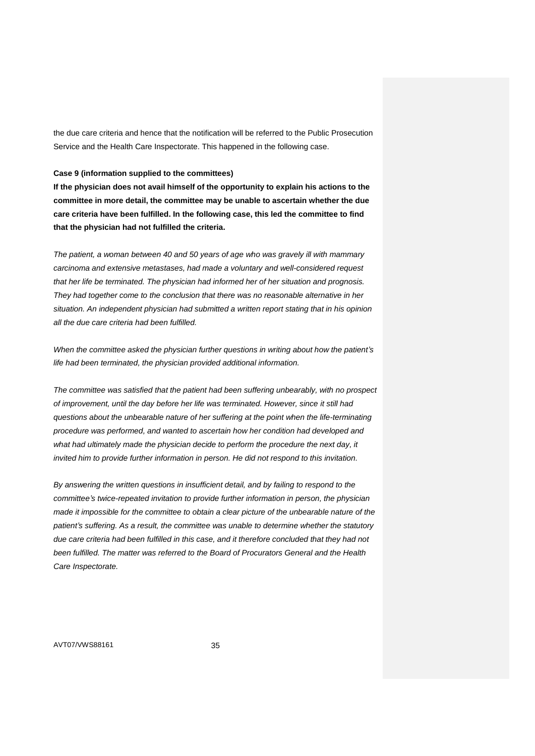the due care criteria and hence that the notification will be referred to the Public Prosecution Service and the Health Care Inspectorate. This happened in the following case.

#### **Case 9 (information supplied to the committees)**

**If the physician does not avail himself of the opportunity to explain his actions to the committee in more detail, the committee may be unable to ascertain whether the due care criteria have been fulfilled. In the following case, this led the committee to find that the physician had not fulfilled the criteria.**

*The patient, a woman between 40 and 50 years of age who was gravely ill with mammary carcinoma and extensive metastases, had made a voluntary and well-considered request that her life be terminated. The physician had informed her of her situation and prognosis. They had together come to the conclusion that there was no reasonable alternative in her situation. An independent physician had submitted a written report stating that in his opinion all the due care criteria had been fulfilled.*

*When the committee asked the physician further questions in writing about how the patient's life had been terminated, the physician provided additional information.*

*The committee was satisfied that the patient had been suffering unbearably, with no prospect of improvement, until the day before her life was terminated. However, since it still had questions about the unbearable nature of her suffering at the point when the life-terminating procedure was performed, and wanted to ascertain how her condition had developed and what had ultimately made the physician decide to perform the procedure the next day, it invited him to provide further information in person. He did not respond to this invitation.*

*By answering the written questions in insufficient detail, and by failing to respond to the committee's twice-repeated invitation to provide further information in person, the physician made it impossible for the committee to obtain a clear picture of the unbearable nature of the patient's suffering. As a result, the committee was unable to determine whether the statutory due care criteria had been fulfilled in this case, and it therefore concluded that they had not been fulfilled. The matter was referred to the Board of Procurators General and the Health Care Inspectorate.*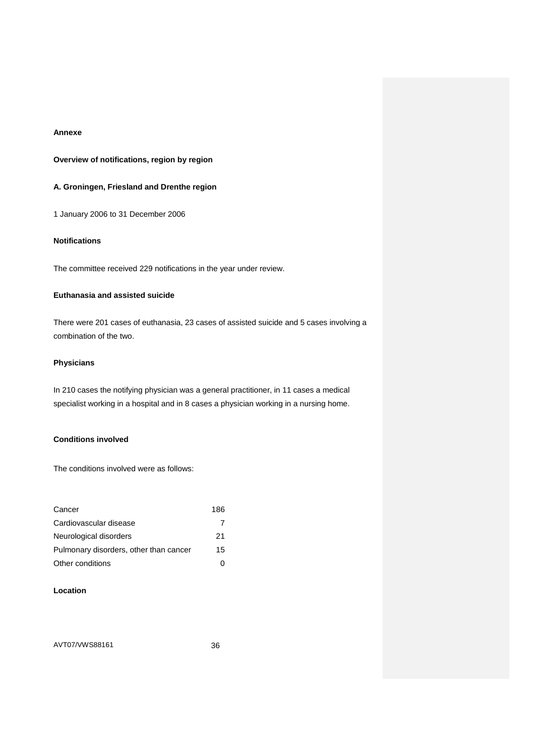## **Annexe**

## **Overview of notifications, region by region**

## **A. Groningen, Friesland and Drenthe region**

1 January 2006 to 31 December 2006

# **Notifications**

The committee received 229 notifications in the year under review.

## **Euthanasia and assisted suicide**

There were 201 cases of euthanasia, 23 cases of assisted suicide and 5 cases involving a combination of the two.

## **Physicians**

In 210 cases the notifying physician was a general practitioner, in 11 cases a medical specialist working in a hospital and in 8 cases a physician working in a nursing home.

## **Conditions involved**

The conditions involved were as follows:

| Cancer                                 | 186 |
|----------------------------------------|-----|
| Cardiovascular disease                 | 7   |
| Neurological disorders                 | 21  |
| Pulmonary disorders, other than cancer | 15  |
| Other conditions                       |     |

## **Location**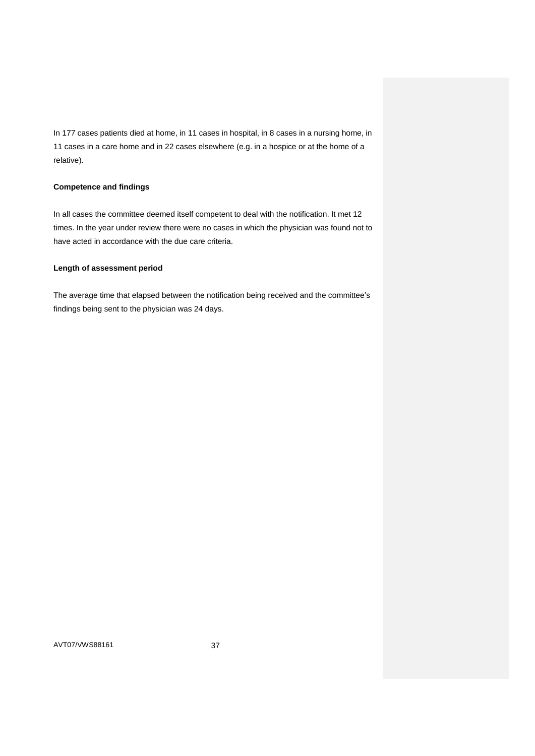In 177 cases patients died at home, in 11 cases in hospital, in 8 cases in a nursing home, in 11 cases in a care home and in 22 cases elsewhere (e.g. in a hospice or at the home of a relative).

## **Competence and findings**

In all cases the committee deemed itself competent to deal with the notification. It met 12 times. In the year under review there were no cases in which the physician was found not to have acted in accordance with the due care criteria.

## **Length of assessment period**

The average time that elapsed between the notification being received and the committee's findings being sent to the physician was 24 days.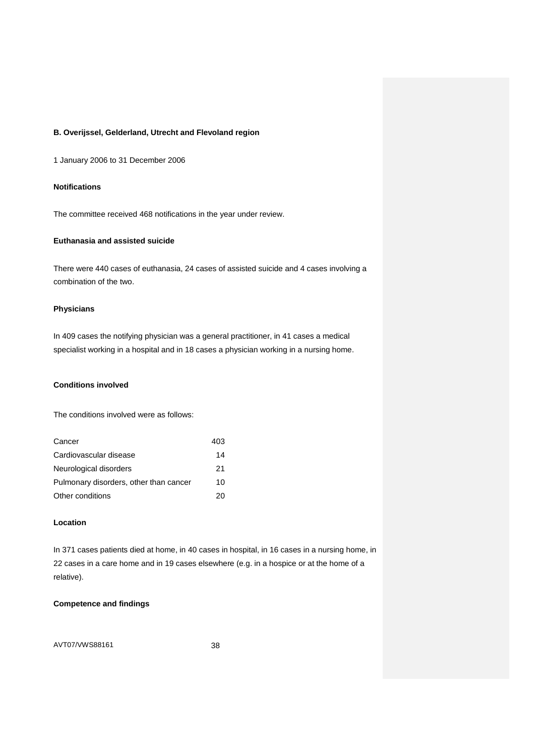# **B. Overijssel, Gelderland, Utrecht and Flevoland region**

1 January 2006 to 31 December 2006

## **Notifications**

The committee received 468 notifications in the year under review.

## **Euthanasia and assisted suicide**

There were 440 cases of euthanasia, 24 cases of assisted suicide and 4 cases involving a combination of the two.

## **Physicians**

In 409 cases the notifying physician was a general practitioner, in 41 cases a medical specialist working in a hospital and in 18 cases a physician working in a nursing home.

# **Conditions involved**

The conditions involved were as follows:

| Cancer                                 | 403 |
|----------------------------------------|-----|
| Cardiovascular disease                 | 14  |
| Neurological disorders                 | 21  |
| Pulmonary disorders, other than cancer | 10  |
| Other conditions                       | 20  |

## **Location**

In 371 cases patients died at home, in 40 cases in hospital, in 16 cases in a nursing home, in 22 cases in a care home and in 19 cases elsewhere (e.g. in a hospice or at the home of a relative).

# **Competence and findings**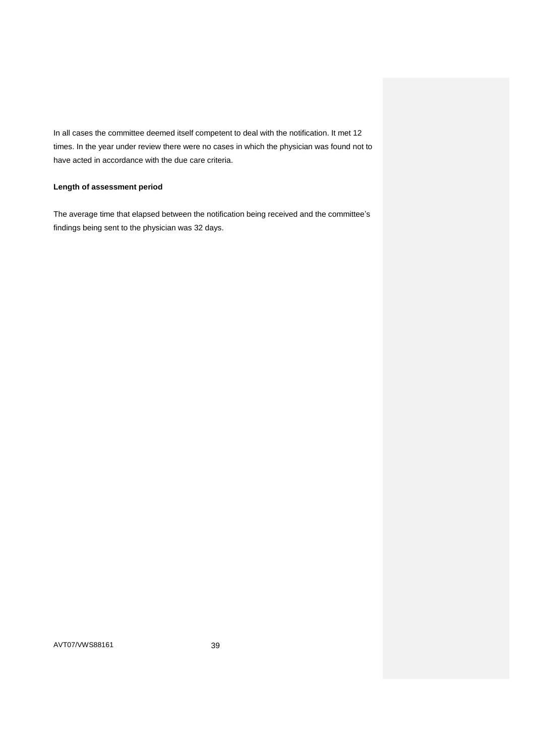In all cases the committee deemed itself competent to deal with the notification. It met 12 times. In the year under review there were no cases in which the physician was found not to have acted in accordance with the due care criteria.

## **Length of assessment period**

The average time that elapsed between the notification being received and the committee's findings being sent to the physician was 32 days.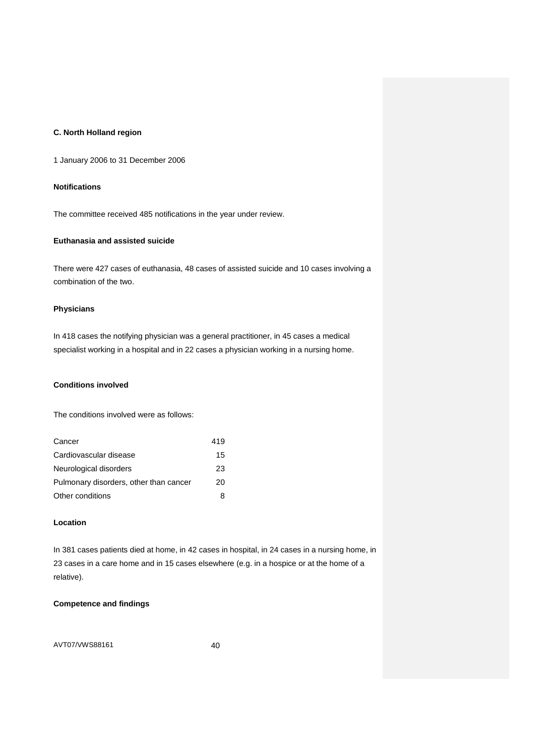# **C. North Holland region**

1 January 2006 to 31 December 2006

## **Notifications**

The committee received 485 notifications in the year under review.

# **Euthanasia and assisted suicide**

There were 427 cases of euthanasia, 48 cases of assisted suicide and 10 cases involving a combination of the two.

## **Physicians**

In 418 cases the notifying physician was a general practitioner, in 45 cases a medical specialist working in a hospital and in 22 cases a physician working in a nursing home.

## **Conditions involved**

The conditions involved were as follows:

| Cancer                                 | 419 |
|----------------------------------------|-----|
| Cardiovascular disease                 | 15  |
| Neurological disorders                 | 23  |
| Pulmonary disorders, other than cancer | 20  |
| Other conditions                       | 8   |

## **Location**

In 381 cases patients died at home, in 42 cases in hospital, in 24 cases in a nursing home, in 23 cases in a care home and in 15 cases elsewhere (e.g. in a hospice or at the home of a relative).

# **Competence and findings**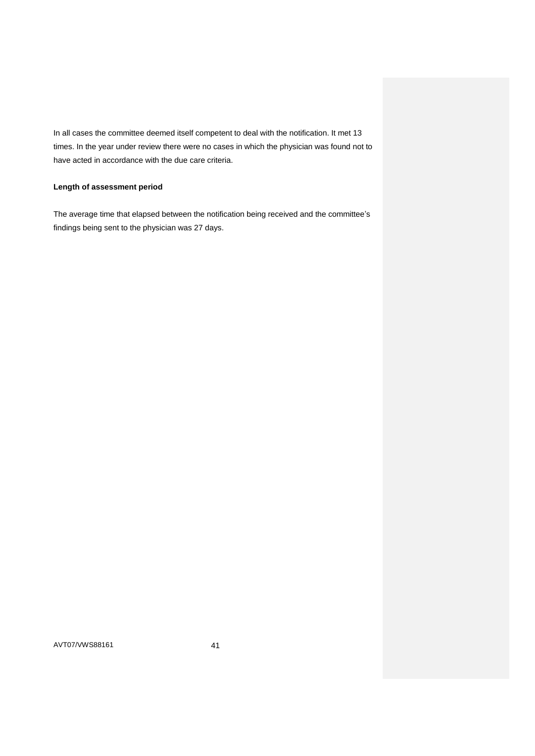In all cases the committee deemed itself competent to deal with the notification. It met 13 times. In the year under review there were no cases in which the physician was found not to have acted in accordance with the due care criteria.

## **Length of assessment period**

The average time that elapsed between the notification being received and the committee's findings being sent to the physician was 27 days.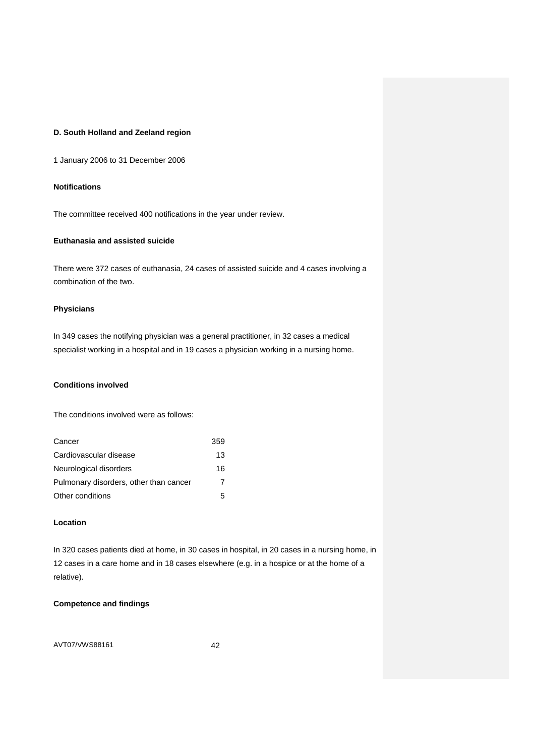# **D. South Holland and Zeeland region**

1 January 2006 to 31 December 2006

## **Notifications**

The committee received 400 notifications in the year under review.

# **Euthanasia and assisted suicide**

There were 372 cases of euthanasia, 24 cases of assisted suicide and 4 cases involving a combination of the two.

## **Physicians**

In 349 cases the notifying physician was a general practitioner, in 32 cases a medical specialist working in a hospital and in 19 cases a physician working in a nursing home.

## **Conditions involved**

The conditions involved were as follows:

| Cancer                                 | 359 |
|----------------------------------------|-----|
| Cardiovascular disease                 | 13  |
| Neurological disorders                 | 16  |
| Pulmonary disorders, other than cancer | 7   |
| Other conditions                       | 5   |

## **Location**

In 320 cases patients died at home, in 30 cases in hospital, in 20 cases in a nursing home, in 12 cases in a care home and in 18 cases elsewhere (e.g. in a hospice or at the home of a relative).

# **Competence and findings**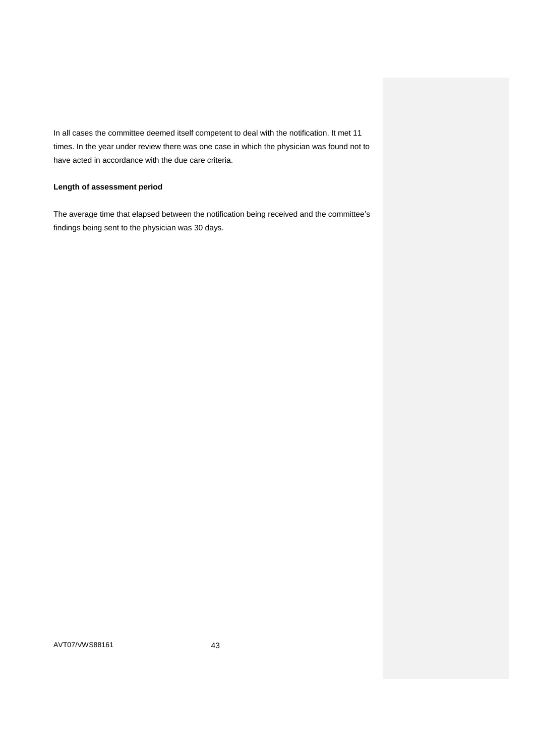In all cases the committee deemed itself competent to deal with the notification. It met 11 times. In the year under review there was one case in which the physician was found not to have acted in accordance with the due care criteria.

## **Length of assessment period**

The average time that elapsed between the notification being received and the committee's findings being sent to the physician was 30 days.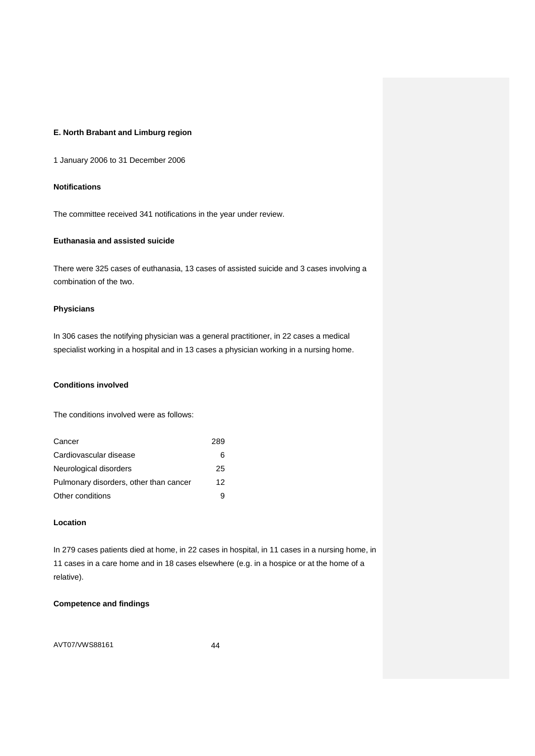# **E. North Brabant and Limburg region**

1 January 2006 to 31 December 2006

## **Notifications**

The committee received 341 notifications in the year under review.

# **Euthanasia and assisted suicide**

There were 325 cases of euthanasia, 13 cases of assisted suicide and 3 cases involving a combination of the two.

## **Physicians**

In 306 cases the notifying physician was a general practitioner, in 22 cases a medical specialist working in a hospital and in 13 cases a physician working in a nursing home.

## **Conditions involved**

The conditions involved were as follows:

| Cancer                                 | 289 |
|----------------------------------------|-----|
| Cardiovascular disease                 | 6   |
| Neurological disorders                 | 25  |
| Pulmonary disorders, other than cancer | 12  |
| Other conditions                       | я   |

## **Location**

In 279 cases patients died at home, in 22 cases in hospital, in 11 cases in a nursing home, in 11 cases in a care home and in 18 cases elsewhere (e.g. in a hospice or at the home of a relative).

# **Competence and findings**